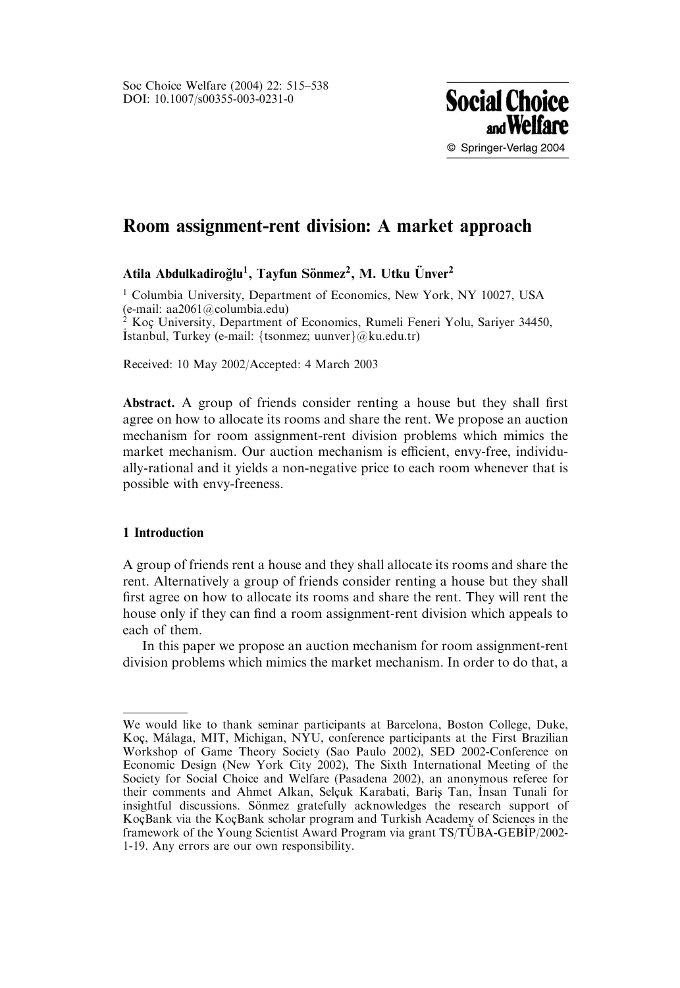# Room assignment-rent division: A market approach

## Atila Abdulkadiroğlu<sup>1</sup>, Tayfun Sönmez<sup>2</sup>, M. Utku Ünver<sup>2</sup>

<sup>1</sup> Columbia University, Department of Economics, New York, NY 10027, USA (e-mail: aa2061@columbia.edu) Koc University, Department of Economics, Rumeli Feneri Yolu, Sariyer 34450, Istanbul, Turkey (e-mail: {tsonmez; uunver}@ku.edu.tr)

Received: 10 May 2002/Accepted: 4 March 2003

Abstract. A group of friends consider renting a house but they shall first agree on how to allocate its rooms and share the rent. We propose an auction mechanism for room assignment-rent division problems which mimics the market mechanism. Our auction mechanism is efficient, envy-free, individually-rational and it yields a non-negative price to each room whenever that is possible with envy-freeness.

## 1 Introduction

A group of friends rent a house and they shall allocate its rooms and share the rent. Alternatively a group of friends consider renting a house but they shall first agree on how to allocate its rooms and share the rent. They will rent the house only if they can find a room assignment-rent division which appeals to each of them.

In this paper we propose an auction mechanism for room assignment-rent division problems which mimics the market mechanism. In order to do that, a

We would like to thank seminar participants at Barcelona, Boston College, Duke, Koc, Málaga, MIT, Michigan, NYU, conference participants at the First Brazilian Workshop of Game Theory Society (Sao Paulo 2002), SED 2002-Conference on Economic Design (New York City 2002), The Sixth International Meeting of the Society for Social Choice and Welfare (Pasadena 2002), an anonymous referee for their comments and Ahmet Alkan, Selçuk Karabati, Bariş Tan, İnsan Tunali for insightful discussions. Sönmez gratefully acknowledges the research support of KocBank via the KocBank scholar program and Turkish Academy of Sciences in the framework of the Young Scientist Award Program via grant TS/TÜBA-GEBİP/2002-1-19. Any errors are our own responsibility.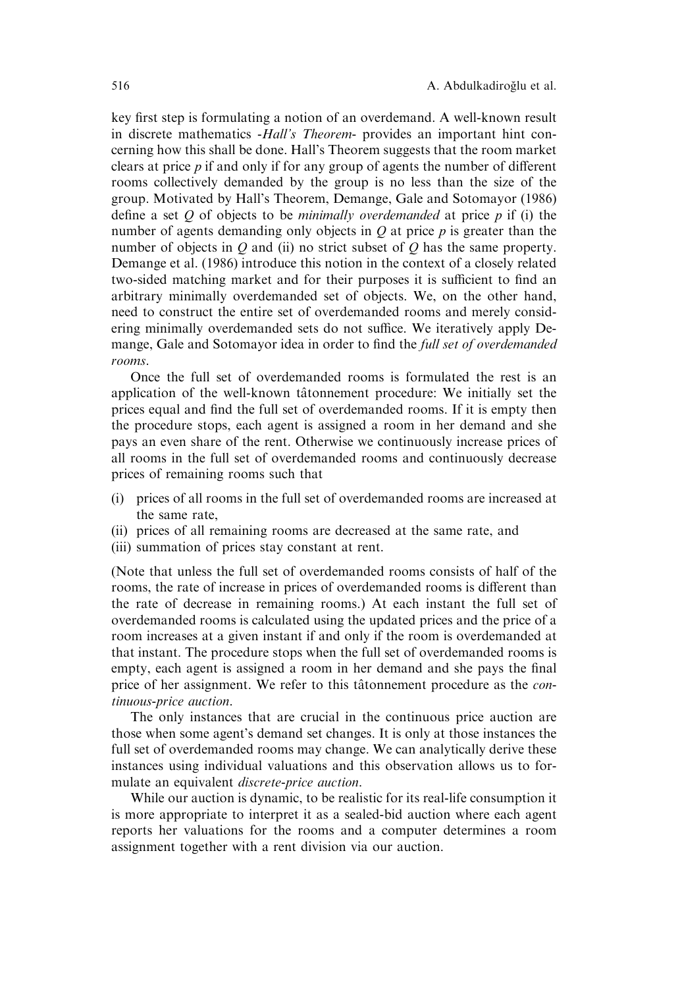key first step is formulating a notion of an overdemand. A well-known result in discrete mathematics *-Hall's Theorem*- provides an important hint concerning how this shall be done. Hall's Theorem suggests that the room market clears at price  $p$  if and only if for any group of agents the number of different rooms collectively demanded by the group is no less than the size of the group. Motivated by Hall's Theorem, Demange, Gale and Sotomayor (1986) define a set  $Q$  of objects to be *minimally overdemanded* at price  $p$  if (i) the number of agents demanding only objects in  $O$  at price  $p$  is greater than the number of objects in  $Q$  and (ii) no strict subset of  $Q$  has the same property. Demange et al. (1986) introduce this notion in the context of a closely related two-sided matching market and for their purposes it is sufficient to find an arbitrary minimally overdemanded set of objects. We, on the other hand, need to construct the entire set of overdemanded rooms and merely considering minimally overdemanded sets do not suffice. We iteratively apply Demange, Gale and Sotomayor idea in order to find the *full set of overdemanded* rooms.

Once the full set of overdemanded rooms is formulated the rest is an application of the well-known tâtonnement procedure: We initially set the prices equal and find the full set of overdemanded rooms. If it is empty then the procedure stops, each agent is assigned a room in her demand and she pays an even share of the rent. Otherwise we continuously increase prices of all rooms in the full set of overdemanded rooms and continuously decrease prices of remaining rooms such that

- (i) prices of all rooms in the full set of overdemanded rooms are increased at the same rate,
- (ii) prices of all remaining rooms are decreased at the same rate, and
- (iii) summation of prices stay constant at rent.

(Note that unless the full set of overdemanded rooms consists of half of the rooms, the rate of increase in prices of overdemanded rooms is different than the rate of decrease in remaining rooms.) At each instant the full set of overdemanded rooms is calculated using the updated prices and the price of a room increases at a given instant if and only if the room is overdemanded at that instant. The procedure stops when the full set of overdemanded rooms is empty, each agent is assigned a room in her demand and she pays the final price of her assignment. We refer to this tatonnement procedure as the *con*tinuous-price auction.

The only instances that are crucial in the continuous price auction are those when some agent's demand set changes. It is only at those instances the full set of overdemanded rooms may change. We can analytically derive these instances using individual valuations and this observation allows us to formulate an equivalent *discrete-price auction*.

While our auction is dynamic, to be realistic for its real-life consumption it is more appropriate to interpret it as a sealed-bid auction where each agent reports her valuations for the rooms and a computer determines a room assignment together with a rent division via our auction.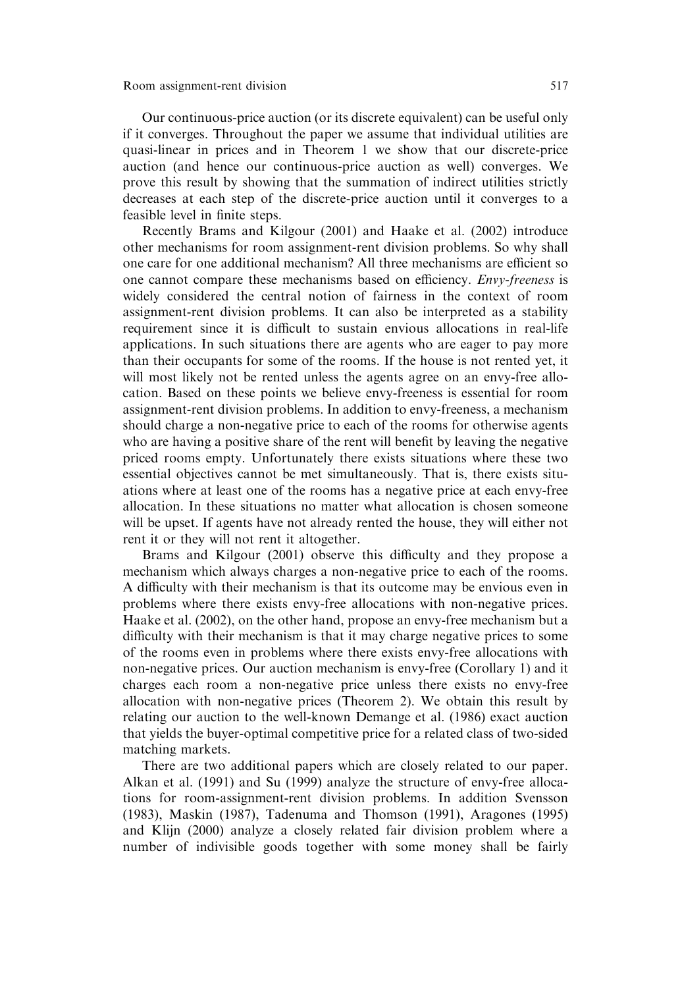Our continuous-price auction (or its discrete equivalent) can be useful only if it converges. Throughout the paper we assume that individual utilities are quasi-linear in prices and in Theorem 1 we show that our discrete-price auction (and hence our continuous-price auction as well) converges. We prove this result by showing that the summation of indirect utilities strictly decreases at each step of the discrete-price auction until it converges to a feasible level in finite steps.

Recently Brams and Kilgour (2001) and Haake et al. (2002) introduce other mechanisms for room assignment-rent division problems. So why shall one care for one additional mechanism? All three mechanisms are efficient so one cannot compare these mechanisms based on efficiency. Envy-freeness is widely considered the central notion of fairness in the context of room assignment-rent division problems. It can also be interpreted as a stability requirement since it is difficult to sustain envious allocations in real-life applications. In such situations there are agents who are eager to pay more than their occupants for some of the rooms. If the house is not rented yet, it will most likely not be rented unless the agents agree on an envy-free allocation. Based on these points we believe envy-freeness is essential for room assignment-rent division problems. In addition to envy-freeness, a mechanism should charge a non-negative price to each of the rooms for otherwise agents who are having a positive share of the rent will benefit by leaving the negative priced rooms empty. Unfortunately there exists situations where these two essential objectives cannot be met simultaneously. That is, there exists situations where at least one of the rooms has a negative price at each envy-free allocation. In these situations no matter what allocation is chosen someone will be upset. If agents have not already rented the house, they will either not rent it or they will not rent it altogether.

Brams and Kilgour (2001) observe this difficulty and they propose a mechanism which always charges a non-negative price to each of the rooms. A difficulty with their mechanism is that its outcome may be envious even in problems where there exists envy-free allocations with non-negative prices. Haake et al. (2002), on the other hand, propose an envy-free mechanism but a difficulty with their mechanism is that it may charge negative prices to some of the rooms even in problems where there exists envy-free allocations with non-negative prices. Our auction mechanism is envy-free (Corollary 1) and it charges each room a non-negative price unless there exists no envy-free allocation with non-negative prices (Theorem 2). We obtain this result by relating our auction to the well-known Demange et al. (1986) exact auction that yields the buyer-optimal competitive price for a related class of two-sided matching markets.

There are two additional papers which are closely related to our paper. Alkan et al. (1991) and Su (1999) analyze the structure of envy-free allocations for room-assignment-rent division problems. In addition Svensson (1983), Maskin (1987), Tadenuma and Thomson (1991), Aragones (1995) and Klijn (2000) analyze a closely related fair division problem where a number of indivisible goods together with some money shall be fairly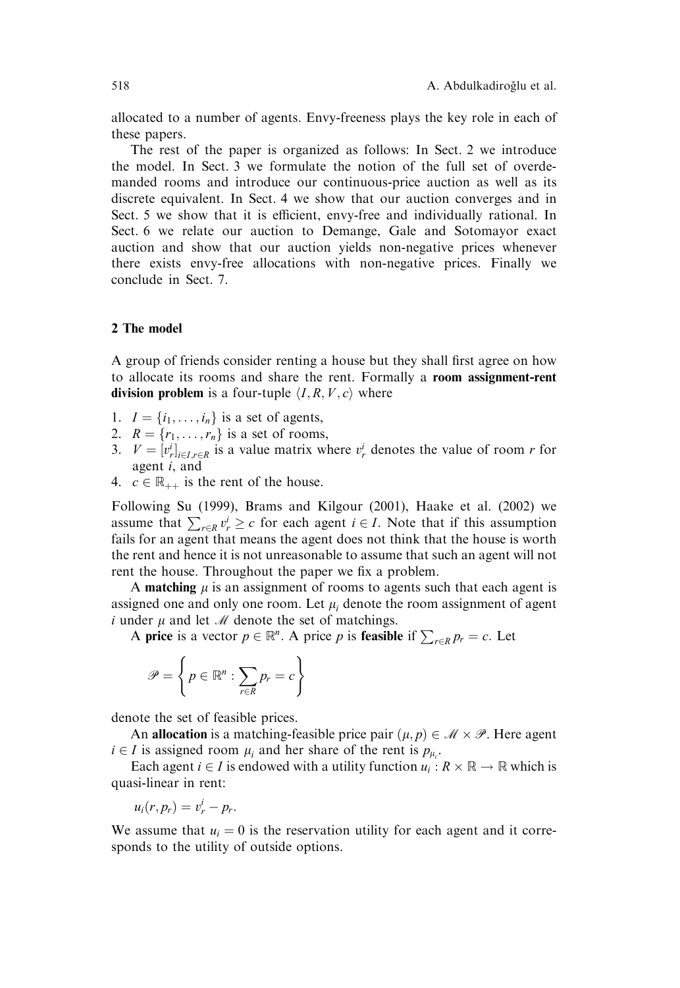allocated to a number of agents. Envy-freeness plays the key role in each of these papers.

The rest of the paper is organized as follows: In Sect. 2 we introduce the model. In Sect. 3 we formulate the notion of the full set of overdemanded rooms and introduce our continuous-price auction as well as its discrete equivalent. In Sect. 4 we show that our auction converges and in Sect. 5 we show that it is efficient, envy-free and individually rational. In Sect. 6 we relate our auction to Demange, Gale and Sotomayor exact auction and show that our auction yields non-negative prices whenever there exists envy-free allocations with non-negative prices. Finally we conclude in Sect. 7.

## 2 The model

A group of friends consider renting a house but they shall first agree on how to allocate its rooms and share the rent. Formally a room assignment-rent division problem is a four-tuple  $\langle I, R, V, c \rangle$  where

- 1.  $I = \{i_1, \ldots, i_n\}$  is a set of agents,
- 2.  $R = \{r_1, \ldots, r_n\}$  is a set of rooms,
- 3.  $V = [v_r^i]_{i \in I, r \in R}$  is a value matrix where  $v_r^i$  denotes the value of room r for agent i, and
- 4.  $c \in \mathbb{R}_{++}$  is the rent of the house.

Following Su (1999), Brams and Kilgour (2001), Haake et al. (2002) we assume that  $\sum_{r \in R} v_r^i \geq c$  for each agent  $i \in I$ . Note that if this assumption fails for an agent that means the agent does not think that the house is worth the rent and hence it is not unreasonable to assume that such an agent will not rent the house. Throughout the paper we fix a problem.

A matching  $\mu$  is an assignment of rooms to agents such that each agent is assigned one and only one room. Let  $\mu_i$  denote the room assignment of agent i under  $\mu$  and let  $\mathcal M$  denote the set of matchings.

A price is a vector  $p \in \mathbb{R}^n$ . A price p is **feasible** if  $\sum_{r \in R} p_r = c$ . Let

$$
\mathscr{P} = \left\{ p \in \mathbb{R}^n : \sum_{r \in R} p_r = c \right\}
$$

denote the set of feasible prices.

An allocation is a matching-feasible price pair  $(\mu, p) \in \mathcal{M} \times \mathcal{P}$ . Here agent  $i \in I$  is assigned room  $\mu_i$  and her share of the rent is  $p_{\mu_i}$ .

Each agent  $i \in I$  is endowed with a utility function  $u_i : R \times \mathbb{R} \to \mathbb{R}$  which is quasi-linear in rent:

 $u_i(r, p_r) = v_r^i - p_r.$ 

We assume that  $u_i = 0$  is the reservation utility for each agent and it corresponds to the utility of outside options.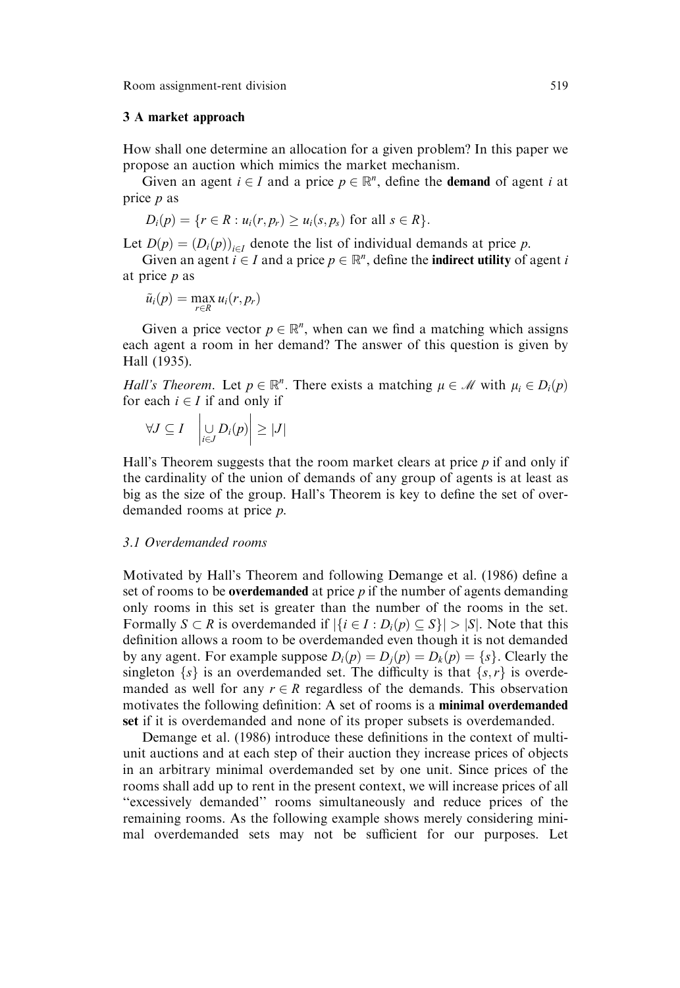#### 3 A market approach

How shall one determine an allocation for a given problem? In this paper we propose an auction which mimics the market mechanism.

Given an agent  $i \in I$  and a price  $p \in \mathbb{R}^n$ , define the **demand** of agent i at price p as

$$
D_i(p) = \{r \in R : u_i(r, p_r) \ge u_i(s, p_s) \text{ for all } s \in R\}.
$$

Let  $D(p) = (D_i(p))_{i \in I}$  denote the list of individual demands at price p.

Given an agent  $i \in I$  and a price  $p \in \mathbb{R}^n$ , define the **indirect utility** of agent i at price  $p$  as

$$
\tilde{u}_i(p) = \max_{r \in R} u_i(r, p_r)
$$

Given a price vector  $p \in \mathbb{R}^n$ , when can we find a matching which assigns each agent a room in her demand? The answer of this question is given by Hall (1935).

*Hall's Theorem.* Let  $p \in \mathbb{R}^n$ . There exists a matching  $\mu \in \mathcal{M}$  with  $\mu_i \in D_i(p)$ for each  $i \in I$  if and only if

$$
\forall J \subseteq I \quad \left| \bigcup_{i \in J} D_i(p) \right| \geq |J|
$$

Hall's Theorem suggests that the room market clears at price p if and only if the cardinality of the union of demands of any group of agents is at least as big as the size of the group. Hall's Theorem is key to define the set of overdemanded rooms at price p.

#### 3.1 Overdemanded rooms

Motivated by Hall's Theorem and following Demange et al. (1986) define a set of rooms to be **overdemanded** at price  $p$  if the number of agents demanding only rooms in this set is greater than the number of the rooms in the set. Formally  $S \subset R$  is overdemanded if  $|\{i \in I : D_i(p) \subseteq S\}| > |S|$ . Note that this definition allows a room to be overdemanded even though it is not demanded by any agent. For example suppose  $D_i(p) = D_i(p) = D_k(p) = \{s\}$ . Clearly the singleton  $\{s\}$  is an overdemanded set. The difficulty is that  $\{s,r\}$  is overdemanded as well for any  $r \in R$  regardless of the demands. This observation motivates the following definition: A set of rooms is a minimal overdemanded set if it is overdemanded and none of its proper subsets is overdemanded.

Demange et al. (1986) introduce these definitions in the context of multiunit auctions and at each step of their auction they increase prices of objects in an arbitrary minimal overdemanded set by one unit. Since prices of the rooms shall add up to rent in the present context, we will increase prices of all ''excessively demanded'' rooms simultaneously and reduce prices of the remaining rooms. As the following example shows merely considering minimal overdemanded sets may not be sufficient for our purposes. Let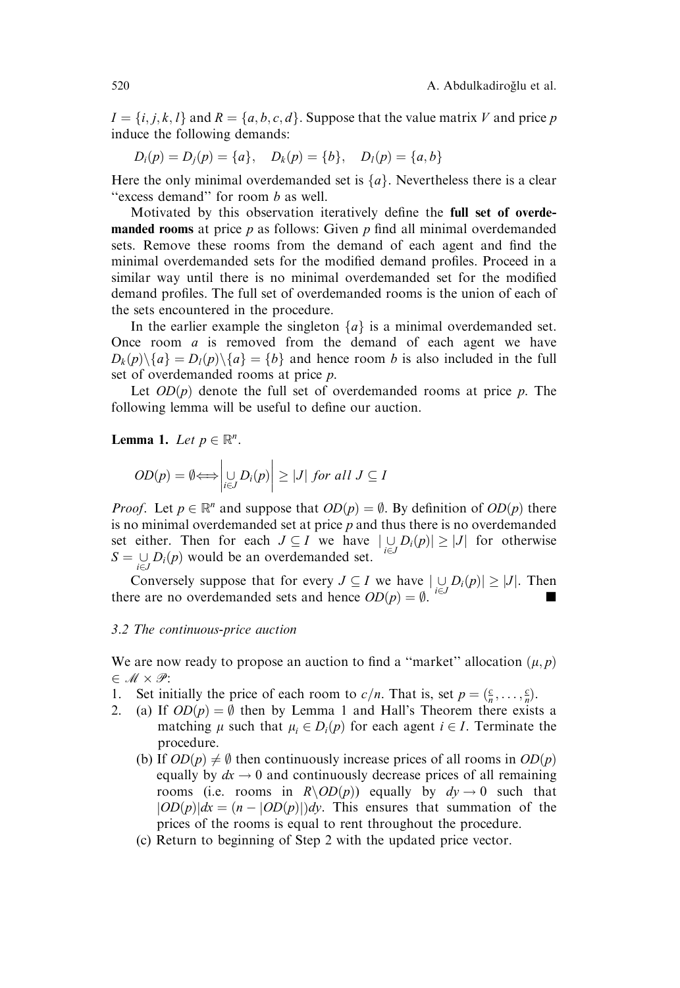$I = \{i, j, k, l\}$  and  $R = \{a, b, c, d\}$ . Suppose that the value matrix V and price p induce the following demands:

$$
D_i(p) = D_j(p) = \{a\}, \quad D_k(p) = \{b\}, \quad D_l(p) = \{a, b\}
$$

Here the only minimal overdemanded set is  $\{a\}$ . Nevertheless there is a clear "excess demand" for room b as well.

Motivated by this observation iteratively define the full set of overde**manded rooms** at price  $p$  as follows: Given  $p$  find all minimal overdemanded sets. Remove these rooms from the demand of each agent and find the minimal overdemanded sets for the modified demand profiles. Proceed in a similar way until there is no minimal overdemanded set for the modified demand profiles. The full set of overdemanded rooms is the union of each of the sets encountered in the procedure.

In the earlier example the singleton  $\{a\}$  is a minimal overdemanded set. Once room  $a$  is removed from the demand of each agent we have  $D_k(p)\setminus\{a\} = D_l(p)\setminus\{a\} = \{b\}$  and hence room b is also included in the full set of overdemanded rooms at price p.

Let  $OD(p)$  denote the full set of overdemanded rooms at price p. The following lemma will be useful to define our auction.

**Lemma 1.** Let  $p \in \mathbb{R}^n$ .

$$
OD(p) = \emptyset \Longleftrightarrow \Big| \bigcup_{i \in J} D_i(p) \Big| \ge |J| \text{ for all } J \subseteq I
$$

*Proof.* Let  $p \in \mathbb{R}^n$  and suppose that  $OD(p) = \emptyset$ . By definition of  $OD(p)$  there is no minimal overdemanded set at price  $p$  and thus there is no overdemanded set either. Then for each  $J \subseteq I$  we have  $|\bigcup_{i \in J} D_i(p)| \geq |J|$  for otherwise  $S = \bigcup_{i \in J} D_i(p)$  would be an overdemanded set.

Conversely suppose that for every  $J \subseteq I$  we have  $|\bigcup_{i} D_i(p)| \geq |J|$ . Then there are no overdemanded sets and hence  $OD(p) = \emptyset$ .  $i \in J$ 

#### 3.2 The continuous-price auction

We are now ready to propose an auction to find a "market" allocation  $(\mu, p)$  $\in \mathcal{M} \times \mathcal{P}$ :

- 1. Set initially the price of each room to  $c/n$ . That is, set  $p = (\frac{c}{n}, \dots, \frac{c}{n})$ .
- 2. (a) If  $OD(p) = \emptyset$  then by Lemma 1 and Hall's Theorem there exists a matching  $\mu$  such that  $\mu_i \in D_i(p)$  for each agent  $i \in I$ . Terminate the procedure.
	- (b) If  $OD(p) \neq \emptyset$  then continuously increase prices of all rooms in  $OD(p)$ equally by  $dx \rightarrow 0$  and continuously decrease prices of all remaining rooms (i.e. rooms in  $R\setminus OD(p)$ ) equally by  $dy \to 0$  such that  $|OD(p)|dx = (n - |OD(p)|)dy$ . This ensures that summation of the prices of the rooms is equal to rent throughout the procedure.
	- (c) Return to beginning of Step 2 with the updated price vector.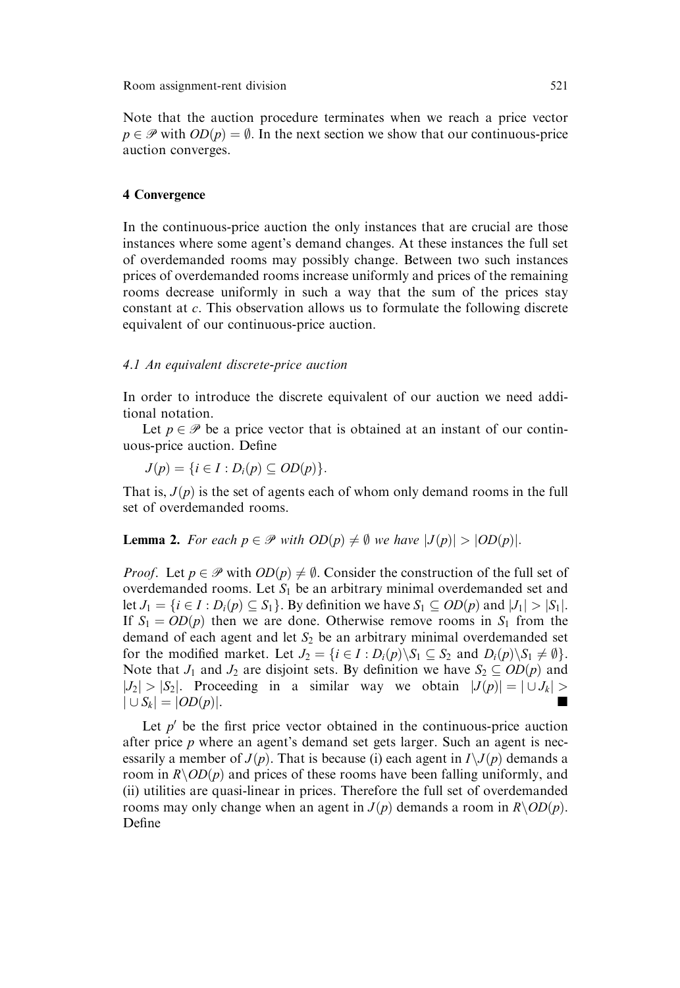Note that the auction procedure terminates when we reach a price vector  $p \in \mathcal{P}$  with  $OD(p) = \emptyset$ . In the next section we show that our continuous-price auction converges.

## 4 Convergence

In the continuous-price auction the only instances that are crucial are those instances where some agent's demand changes. At these instances the full set of overdemanded rooms may possibly change. Between two such instances prices of overdemanded rooms increase uniformly and prices of the remaining rooms decrease uniformly in such a way that the sum of the prices stay constant at c. This observation allows us to formulate the following discrete equivalent of our continuous-price auction.

## 4.1 An equivalent discrete-price auction

In order to introduce the discrete equivalent of our auction we need additional notation.

Let  $p \in \mathcal{P}$  be a price vector that is obtained at an instant of our continuous-price auction. Define

 $J(p) = \{i \in I : D_i(p) \subseteq OD(p)\}.$ 

That is,  $J(p)$  is the set of agents each of whom only demand rooms in the full set of overdemanded rooms.

**Lemma 2.** For each  $p \in \mathcal{P}$  with  $OD(p) \neq \emptyset$  we have  $|J(p)| > |OD(p)|$ .

*Proof.* Let  $p \in \mathcal{P}$  with  $OD(p) \neq \emptyset$ . Consider the construction of the full set of overdemanded rooms. Let  $S_1$  be an arbitrary minimal overdemanded set and let  $J_1 = \{i \in I : D_i(p) \subseteq S_1\}$ . By definition we have  $S_1 \subseteq OD(p)$  and  $|J_1| > |S_1|$ . If  $S_1 = OD(p)$  then we are done. Otherwise remove rooms in  $S_1$  from the demand of each agent and let  $S_2$  be an arbitrary minimal overdemanded set for the modified market. Let  $J_2 = \{i \in I : D_i(p) \setminus S_1 \subseteq S_2 \text{ and } D_i(p) \setminus S_1 \neq \emptyset\}.$ Note that  $J_1$  and  $J_2$  are disjoint sets. By definition we have  $S_2 \subseteq OD(p)$  and  $|J_2| > |S_2|$ . Proceeding in a similar way we obtain  $|J(p)| = |\cup J_k| >$  $|\cup S_k| = |OD(p)|.$ 

Let  $p'$  be the first price vector obtained in the continuous-price auction after price p where an agent's demand set gets larger. Such an agent is necessarily a member of  $J(p)$ . That is because (i) each agent in  $I\setminus J(p)$  demands a room in  $R\setminus OD(p)$  and prices of these rooms have been falling uniformly, and (ii) utilities are quasi-linear in prices. Therefore the full set of overdemanded rooms may only change when an agent in  $J(p)$  demands a room in  $R\setminus OD(p)$ . Define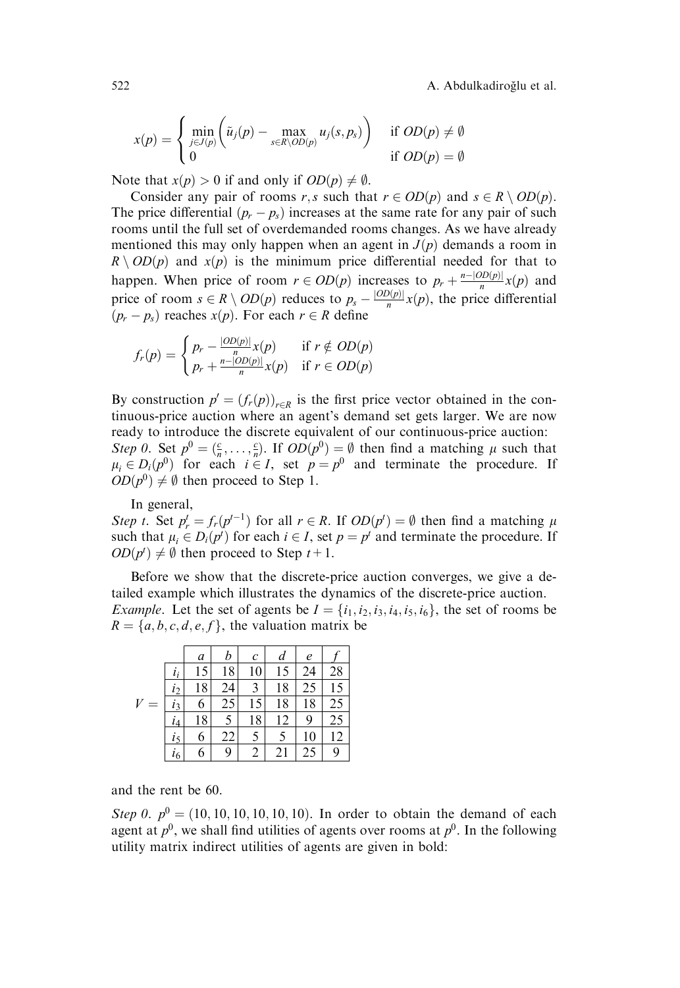$$
x(p) = \begin{cases} \min_{j \in J(p)} \Big( \tilde{u}_j(p) - \max_{s \in R \setminus OD(p)} u_j(s, p_s) \Big) & \text{if } OD(p) \neq \emptyset \\ 0 & \text{if } OD(p) = \emptyset \end{cases}
$$

Note that  $x(p) > 0$  if and only if  $OD(p) \neq \emptyset$ .

Consider any pair of rooms r, s such that  $r \in OD(p)$  and  $s \in R \setminus OD(p)$ . The price differential  $(p_r - p_s)$  increases at the same rate for any pair of such rooms until the full set of overdemanded rooms changes. As we have already mentioned this may only happen when an agent in  $J(p)$  demands a room in  $R \setminus OD(p)$  and  $x(p)$  is the minimum price differential needed for that to happen. When price of room  $r \in OD(p)$  increases to  $p_r + \frac{n - |OD(p)|}{n}x(p)$  and price of room  $s \in R \setminus OD(p)$  reduces to  $p_s - \frac{|OD(p)|}{n}x(p)$ , the price differential  $(p_r - p_s)$  reaches  $x(p)$ . For each  $r \in R$  define

$$
f_r(p) = \begin{cases} p_r - \frac{|OD(p)|}{n}x(p) & \text{if } r \notin OD(p) \\ p_r + \frac{n - |OD(p)|}{n}x(p) & \text{if } r \in OD(p) \end{cases}
$$

By construction  $p' = (f_r(p))_{r \in R}$  is the first price vector obtained in the continuous-price auction where an agent's demand set gets larger. We are now ready to introduce the discrete equivalent of our continuous-price auction: Step 0. Set  $p^0 = (\frac{c}{n}, \dots, \frac{c}{n})$ . If  $OD(p^0) = \emptyset$  then find a matching  $\mu$  such that  $\mu_i \in D_i(p^0)$  for each  $i \in I$ , set  $p = p^0$  and terminate the procedure. If  $OD(p^0) \neq \emptyset$  then proceed to Step 1.

In general,

Step t. Set  $p_r^t = f_r(p^{t-1})$  for all  $r \in R$ . If  $OD(p^t) = \emptyset$  then find a matching  $\mu$ such that  $\mu_i \in D_i(p^t)$  for each  $i \in I$ , set  $p = p^t$  and terminate the procedure. If  $OD(p^t) \neq \emptyset$  then proceed to Step  $t+1$ .

Before we show that the discrete-price auction converges, we give a detailed example which illustrates the dynamics of the discrete-price auction. *Example.* Let the set of agents be  $I = \{i_1, i_2, i_3, i_4, i_5, i_6\}$ , the set of rooms be  $R = \{a, b, c, d, e, f\}$ , the valuation matrix be

|       |       | a  | b  | $\mathcal C$ | d  | $\epsilon$ |    |
|-------|-------|----|----|--------------|----|------------|----|
|       | $l_i$ | 15 | 18 | 10           | 15 | 24         | 28 |
|       | $i_2$ | 18 | 24 | 3            | 18 | 25         | 15 |
| $V =$ | $l_3$ | 6  | 25 | 15           | 18 | 18         | 25 |
|       | $i_4$ | 18 | 5  | 18           | 12 | 9          | 25 |
|       | $i_5$ | 6  | 22 | 5            | 5  | 10         | 12 |
|       | $i_6$ | 6  | 9  | 2            | 21 | 25         | 9  |

and the rent be 60.

Step 0.  $p^0 = (10, 10, 10, 10, 10, 10)$ . In order to obtain the demand of each agent at  $p^0$ , we shall find utilities of agents over rooms at  $p^0$ . In the following utility matrix indirect utilities of agents are given in bold: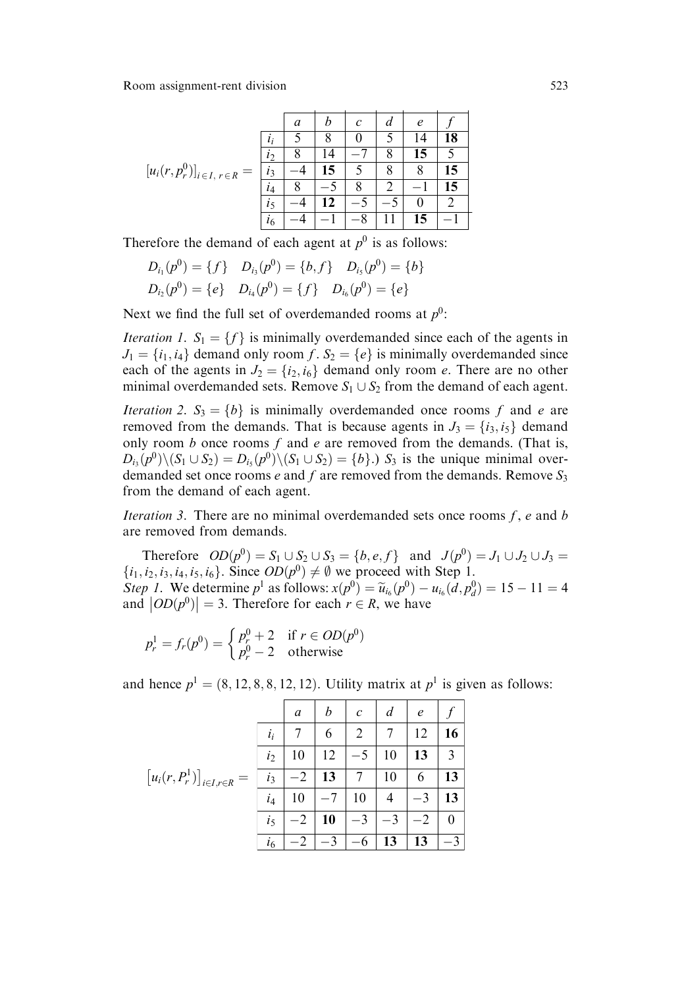|                                      |                | a | D  | $\mathcal{C}_{0}$ | d | $\epsilon$ |    |
|--------------------------------------|----------------|---|----|-------------------|---|------------|----|
| $[u_i(r,p_r^0)]_{i\in I, r \in R} =$ | $l_i$          |   |    |                   |   | 4          | 18 |
|                                      | l <sub>2</sub> |   | 14 |                   | 8 | 15         |    |
|                                      | $l_3$          |   | 15 |                   | 8 |            | 15 |
|                                      | i4             |   |    | δ                 |   |            | 15 |
|                                      | i <sub>5</sub> |   | 12 |                   |   |            | 2  |
|                                      | i <sub>6</sub> |   |    |                   |   | 15         |    |

Therefore the demand of each agent at  $p^0$  is as follows:

$$
D_{i_1}(p^0) = \{f\} \quad D_{i_3}(p^0) = \{b, f\} \quad D_{i_5}(p^0) = \{b\}
$$
  

$$
D_{i_2}(p^0) = \{e\} \quad D_{i_4}(p^0) = \{f\} \quad D_{i_6}(p^0) = \{e\}
$$

Next we find the full set of overdemanded rooms at  $p^0$ :

Iteration 1.  $S_1 = \{f\}$  is minimally overdemanded since each of the agents in  $J_1 = \{i_1, i_4\}$  demand only room f.  $S_2 = \{e\}$  is minimally overdemanded since each of the agents in  $J_2 = \{i_2, i_6\}$  demand only room e. There are no other minimal overdemanded sets. Remove  $S_1 \cup S_2$  from the demand of each agent.

*Iteration 2.*  $S_3 = \{b\}$  is minimally overdemanded once rooms f and e are removed from the demands. That is because agents in  $J_3 = \{i_3, i_5\}$  demand only room  $b$  once rooms  $f$  and  $e$  are removed from the demands. (That is,  $D_{i_3}(p^0)\setminus (S_1\cup S_2)=D_{i_5}(p^0)\setminus (S_1\cup S_2)=\{b\}.$  S<sub>3</sub> is the unique minimal overdemanded set once rooms e and f are removed from the demands. Remove  $S_3$ from the demand of each agent.

*Iteration 3.* There are no minimal overdemanded sets once rooms  $f$ ,  $e$  and  $b$ are removed from demands.

Therefore  $OD(p^0) = S_1 \cup S_2 \cup S_3 = \{b, e, f\}$  and  $J(p^0) = J_1 \cup J_2 \cup J_3 =$  ${i_1, i_2, i_3, i_4, i_5, i_6}$ . Since  $OD(p^0) \neq \emptyset$  we proceed with Step 1. *Step 1*. We determine  $p^1$  as follows:  $x(p^0) = \tilde{u}_{i_6}(p^0) - u_{i_6}(d, p_d^0) = 15 - 11 = 4$ and  $|OD(p^0)| = 3$ . Therefore for each  $r \in R$ , we have

$$
p_r^1 = f_r(p^0) = \begin{cases} p_r^0 + 2 & \text{if } r \in OD(p^0) \\ p_r^0 - 2 & \text{otherwise} \end{cases}
$$

and hence  $p^1 = (8, 12, 8, 8, 12, 12)$ . Utility matrix at  $p^1$  is given as follows:

|                                             |                | a  | b  | $\mathcal{C}_{0}$ | d  | $\boldsymbol{e}$ |          |
|---------------------------------------------|----------------|----|----|-------------------|----|------------------|----------|
| $\left[u_i(r,P_r^1)\right]_{i\in I,r\in R}$ | $i_i$          |    | 6  | 2                 |    | 12               | 16       |
|                                             | i <sub>2</sub> | 10 | 12 |                   | 10 | 13               | 3        |
|                                             | $i_3$          |    | 13 | 7                 | 10 | 6                | 13       |
|                                             | $i_4$          | 10 |    | 10                | 4  |                  | 13       |
|                                             | i <sub>5</sub> |    | 10 |                   |    |                  | $\theta$ |
|                                             | i <sub>6</sub> |    |    |                   | 13 | 13               |          |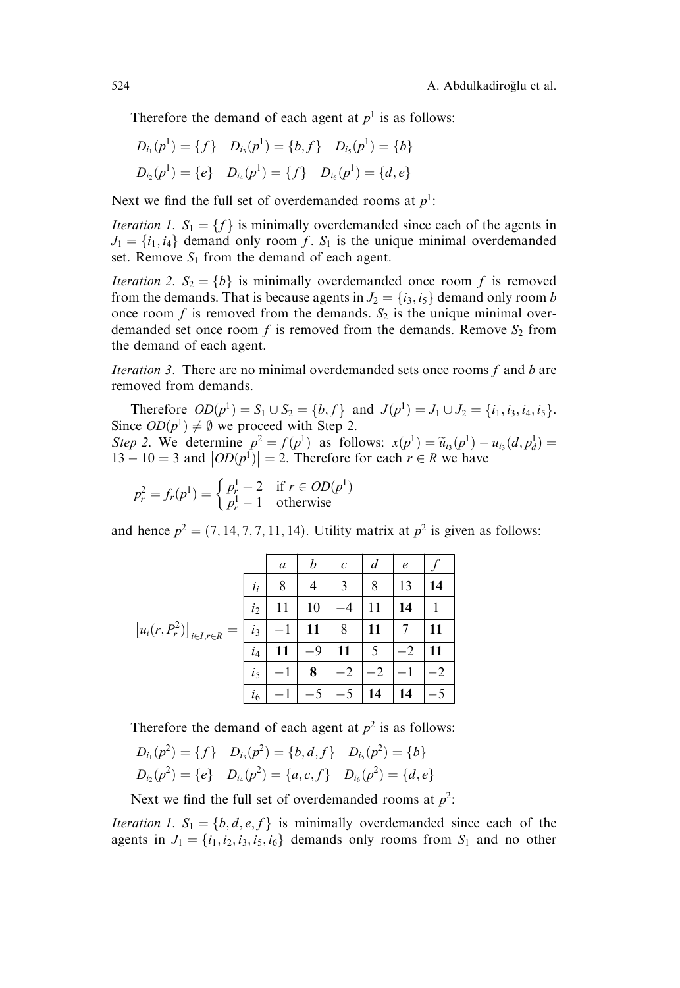Therefore the demand of each agent at  $p<sup>1</sup>$  is as follows:

$$
D_{i_1}(p^1) = \{f\} \quad D_{i_3}(p^1) = \{b, f\} \quad D_{i_5}(p^1) = \{b\}
$$
  

$$
D_{i_2}(p^1) = \{e\} \quad D_{i_4}(p^1) = \{f\} \quad D_{i_6}(p^1) = \{d, e\}
$$

Next we find the full set of overdemanded rooms at  $p^1$ :

*Iteration 1.*  $S_1 = \{f\}$  is minimally overdemanded since each of the agents in  $J_1 = \{i_1, i_4\}$  demand only room f.  $S_1$  is the unique minimal overdemanded set. Remove  $S_1$  from the demand of each agent.

*Iteration 2.*  $S_2 = \{b\}$  is minimally overdemanded once room f is removed from the demands. That is because agents in  $J_2 = \{i_3, i_5\}$  demand only room b once room f is removed from the demands.  $S_2$  is the unique minimal overdemanded set once room f is removed from the demands. Remove  $S_2$  from the demand of each agent.

*Iteration 3.* There are no minimal overdemanded sets once rooms  $f$  and  $b$  are removed from demands.

Therefore  $OD(p^1) = S_1 \cup S_2 = \{b, f\}$  and  $J(p^1) = J_1 \cup J_2 = \{i_1, i_3, i_4, i_5\}.$ Since  $OD(p^1) \neq \emptyset$  we proceed with Step 2. Step 2. We determine  $p^2 = f(p^1)$  as follows:  $x(p^1) = \tilde{u}_{i_3}(p^1) - u_{i_3}(d, p_d^1) =$  $13 - 10 = 3$  and  $|OD(p^1)| = 2$ . Therefore for each  $r \in R$  we have

$$
p_r^2 = f_r(p^1) = \begin{cases} p_r^1 + 2 & \text{if } r \in OD(p^1) \\ p_r^1 - 1 & \text{otherwise} \end{cases}
$$

and hence  $p^2 = (7, 14, 7, 7, 11, 14)$ . Utility matrix at  $p^2$  is given as follows:

|                                             |                | a  | b  | $\mathcal{C}_{0}$ | $\overline{d}$ | $\boldsymbol{e}$ |    |
|---------------------------------------------|----------------|----|----|-------------------|----------------|------------------|----|
| $\left[u_i(r,P_r^2)\right]_{i\in I,r\in R}$ | $i_i$          | 8  | 4  | 3                 | 8              | 13               | 14 |
|                                             | i <sub>2</sub> | 11 | 10 |                   |                | 14               |    |
|                                             | $\dot{i}_3$    |    | 11 | 8                 | 11             |                  | 11 |
|                                             | $i_4$          | 11 | -9 | 11                | 5              |                  | 11 |
|                                             | i <sub>5</sub> |    | 8  |                   |                |                  |    |
|                                             | i <sub>6</sub> |    |    |                   | 14             | 14               |    |

Therefore the demand of each agent at  $p^2$  is as follows:

$$
D_{i_1}(p^2) = \{f\} \quad D_{i_3}(p^2) = \{b, d, f\} \quad D_{i_5}(p^2) = \{b\}
$$
  

$$
D_{i_2}(p^2) = \{e\} \quad D_{i_4}(p^2) = \{a, c, f\} \quad D_{i_6}(p^2) = \{d, e\}
$$

Next we find the full set of overdemanded rooms at  $p^2$ :

*Iteration 1.*  $S_1 = \{b, d, e, f\}$  is minimally overdemanded since each of the agents in  $J_1 = \{i_1, i_2, i_3, i_5, i_6\}$  demands only rooms from  $S_1$  and no other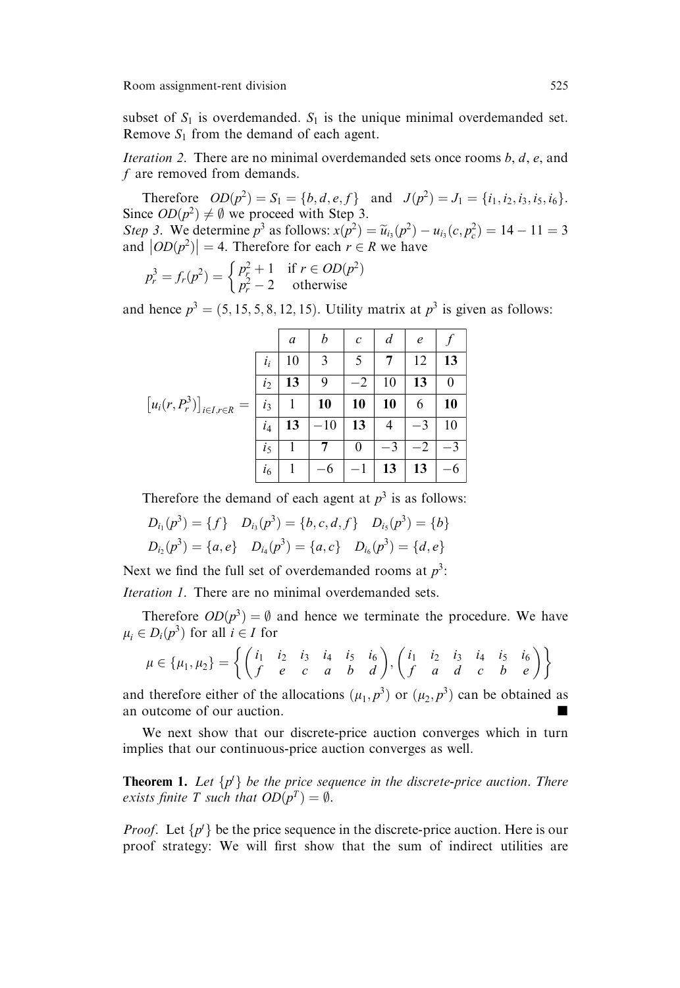subset of  $S_1$  is overdemanded.  $S_1$  is the unique minimal overdemanded set. Remove  $S_1$  from the demand of each agent.

*Iteration 2.* There are no minimal overdemanded sets once rooms  $b, d, e$ , and f are removed from demands.

Therefore  $OD(p^2) = S_1 = \{b, d, e, f\}$  and  $J(p^2) = J_1 = \{i_1, i_2, i_3, i_5, i_6\}.$ Since  $OD(p^2) \neq \emptyset$  we proceed with Step 3. *Step* 3. We determine  $p^3$  as follows:  $x(p^2) = \tilde{u}_{i_3}(p^2) - u_{i_3}(c, p_c^2) = 14 - 11 = 3$ and  $|OD(p^2)| = 4$ . Therefore for each  $r \in R$  we have

$$
p_r^3 = f_r(p^2) = \begin{cases} p_r^2 + 1 & \text{if } r \in OD(p^2) \\ p_r^2 - 2 & \text{otherwise} \end{cases}
$$

and hence  $p^3 = (5, 15, 5, 8, 12, 15)$ . Utility matrix at  $p^3$  is given as follows:

|                                             |                | $\boldsymbol{a}$ | b     | $\mathcal{C}_{0}$ | $\overline{d}$ | $\boldsymbol{e}$ |          |
|---------------------------------------------|----------------|------------------|-------|-------------------|----------------|------------------|----------|
|                                             | $i_i$          | 10               | 3     | 5                 |                | 12               | 13       |
|                                             | i <sub>2</sub> | 13               | 9     |                   | 10             | 13               | $\theta$ |
| $\left[u_i(r,P_r^3)\right]_{i\in I,r\in R}$ | $\dot{i}_3$    | 1                | 10    | 10                | 10             | 6                | 10       |
|                                             | i4             | 13               | $-10$ | 13                | 4              |                  | 10       |
|                                             | i <sub>5</sub> | 1                |       | 0                 | $-3$           |                  |          |
|                                             | i <sub>6</sub> |                  |       |                   | 13             | 13               | 6        |

Therefore the demand of each agent at  $p<sup>3</sup>$  is as follows:

$$
D_{i_1}(p^3) = \{f\} \quad D_{i_3}(p^3) = \{b, c, d, f\} \quad D_{i_5}(p^3) = \{b\}
$$
  

$$
D_{i_2}(p^3) = \{a, e\} \quad D_{i_4}(p^3) = \{a, c\} \quad D_{i_6}(p^3) = \{d, e\}
$$

Next we find the full set of overdemanded rooms at  $p^3$ :

Iteration 1. There are no minimal overdemanded sets.

Therefore  $OD(p^3) = \emptyset$  and hence we terminate the procedure. We have  $\mu_i \in D_i(p^3)$  for all  $i \in I$  for

$$
\mu \in \{\mu_1, \mu_2\} = \left\{ \begin{pmatrix} i_1 & i_2 & i_3 & i_4 & i_5 & i_6 \\ f & e & c & a & b & d \end{pmatrix}, \begin{pmatrix} i_1 & i_2 & i_3 & i_4 & i_5 & i_6 \\ f & a & d & c & b & e \end{pmatrix} \right\}
$$

and therefore either of the allocations  $(\mu_1, p^3)$  or  $(\mu_2, p^3)$  can be obtained as an outcome of our auction.

We next show that our discrete-price auction converges which in turn implies that our continuous-price auction converges as well.

**Theorem 1.** Let  $\{p^t\}$  be the price sequence in the discrete-price auction. There exists finite T such that  $OD(p^T) = \emptyset$ .

*Proof.* Let  $\{p^t\}$  be the price sequence in the discrete-price auction. Here is our proof strategy: We will first show that the sum of indirect utilities are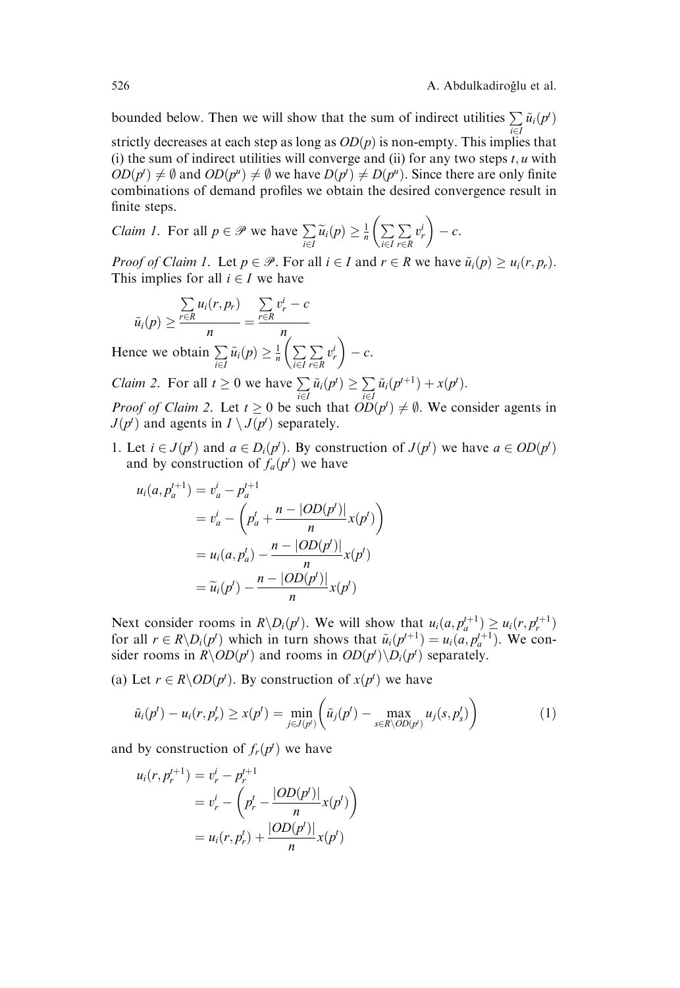bounded below. Then we will show that the sum of indirect utilities  $\sum$  $\sum\limits_{i\in I}\tilde{u}_i(p^t)$ strictly decreases at each step as long as  $OD(p)$  is non-empty. This implies that (i) the sum of indirect utilities will converge and (ii) for any two steps  $t, u$  with  $OD(p^t) \neq \emptyset$  and  $OD(p^u) \neq \emptyset$  we have  $D(p^t) \neq D(p^u)$ . Since there are only finite combinations of demand profiles we obtain the desired convergence result in finite steps.

*Claim 1.* For all 
$$
p \in \mathcal{P}
$$
 we have  $\sum_{i \in I} \widetilde{u}_i(p) \ge \frac{1}{n} \left( \sum_{i \in I} \sum_{r \in R} v_r^i \right) - c$ .

*Proof of Claim 1.* Let  $p \in \mathcal{P}$ . For all  $i \in I$  and  $r \in R$  we have  $\tilde{u}_i(p) \geq u_i(r, p_r)$ . This implies for all  $i \in I$  we have

$$
\widetilde{u}_i(p) \ge \frac{\sum_{r \in R} u_i(r, p_r)}{n} = \frac{\sum_{r \in R} v_r^i - c}{n}
$$
\nwhere we obtain  $\sum \widetilde{u}(p) > \frac{1}{n} \left( \sum \sum_{r} v_r^i \right)$ .

Hence we obtain  $\sum$  $\sum_{i\in I} \tilde{u}_i(p) \geq \frac{1}{n} \left( \sum_{i\in I}$  $i \in I$  $r \in R$  $v_r^i$  $-c$ .

*Claim 2.* For all  $t \ge 0$  we have  $\sum$  $\sum_{i\in I} \tilde{u}_i(p^t) \geq \sum_{i\in I}$  $\sum_{i\in I}\tilde{u}_i(p^{t+1})+x(p^t).$ 

*Proof of Claim 2.* Let  $t \ge 0$  be such that  $OD(p^t) \ne \emptyset$ . We consider agents in  $J(p^t)$  and agents in  $I \setminus J(p^t)$  separately.

1. Let  $i \in J(p^t)$  and  $a \in D_i(p^t)$ . By construction of  $J(p^t)$  we have  $a \in OD(p^t)$ and by construction of  $f_a(p^t)$  we have

$$
u_i(a, p_a^{t+1}) = v_a^i - p_a^{t+1}
$$
  
=  $v_a^i - \left(p_a^t + \frac{n - |OD(p^t)|}{n}x(p^t)\right)$   
=  $u_i(a, p_a^t) - \frac{n - |OD(p^t)|}{n}x(p^t)$   
=  $\widetilde{u}_i(p^t) - \frac{n - |OD(p^t)|}{n}x(p^t)$ 

Next consider rooms in  $R \backslash D_i(p^t)$ . We will show that  $u_i(a, p_a^{t+1}) \ge u_i(r, p_r^{t+1})$ for all  $r \in R \backslash D_i(p^t)$  which in turn shows that  $\tilde{u}_i(p^{t+1}) = u_i(a, p_a^{t+1})$ . We consider rooms in  $R \setminus OD(p^t)$  and rooms in  $OD(p^t) \setminus D_i(p^t)$  separately.

(a) Let  $r \in R \backslash OD(p^t)$ . By construction of  $x(p^t)$  we have

$$
\tilde{u}_i(p^t) - u_i(r, p_r^t) \ge x(p^t) = \min_{j \in J(p^t)} \left( \tilde{u}_j(p^t) - \max_{s \in R \setminus OD(p^t)} u_j(s, p_s^t) \right) \tag{1}
$$

and by construction of  $f_r(p^t)$  we have

$$
u_i(r, p_r^{t+1}) = v_r^i - p_r^{t+1}
$$
  
=  $v_r^i - \left(p_r^t - \frac{|OD(p^t)|}{n}x(p^t)\right)$   
=  $u_i(r, p_r^t) + \frac{|OD(p^t)|}{n}x(p^t)$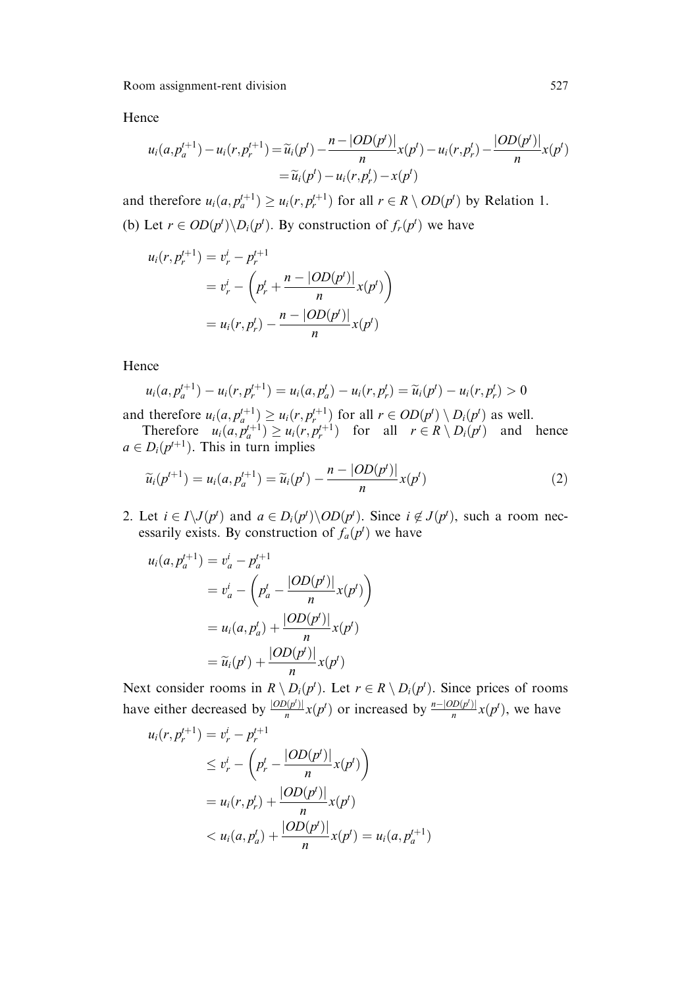Hence

$$
u_i(a, p_a^{t+1}) - u_i(r, p_r^{t+1}) = \widetilde{u}_i(p^t) - \frac{n - |OD(p^t)|}{n} x(p^t) - u_i(r, p_r^t) - \frac{|OD(p^t)|}{n} x(p^t)
$$
  
=  $\widetilde{u}_i(p^t) - u_i(r, p_r^t) - x(p^t)$ 

and therefore  $u_i(a, p_a^{t+1}) \ge u_i(r, p_r^{t+1})$  for all  $r \in R \setminus OD(p^t)$  by Relation 1. (b) Let  $r \in OD(p^t) \backslash D_i(p^t)$ . By construction of  $f_r(p^t)$  we have

$$
u_i(r, p_r^{t+1}) = v_r^i - p_r^{t+1}
$$
  
=  $v_r^i - \left( p_r^t + \frac{n - |OD(p^t)|}{n} x(p^t) \right)$   
=  $u_i(r, p_r^t) - \frac{n - |OD(p^t)|}{n} x(p^t)$ 

Hence

$$
u_i(a, p_a^{t+1}) - u_i(r, p_r^{t+1}) = u_i(a, p_a^t) - u_i(r, p_r^t) = \widetilde{u}_i(p^t) - u_i(r, p_r^t) > 0
$$

and therefore  $u_i(a, p_a^{t+1}) \ge u_i(r, p_r^{t+1})$  for all  $r \in OD(p^t) \setminus D_i(p^t)$  as well. Therefore  $u_i(a, p_a^{t+1}) \ge u_i(r, p_r^{t+1})$  for all  $r \in R \setminus D_i(p^t)$  and hence

 $a \in D_i(p^{t+1})$ . This in turn implies

$$
\widetilde{u}_i(p^{t+1}) = u_i(a, p_a^{t+1}) = \widetilde{u}_i(p^t) - \frac{n - |OD(p^t)|}{n} x(p^t)
$$
\n(2)

2. Let  $i \in I \setminus J(p^t)$  and  $a \in D_i(p^t) \setminus OD(p^t)$ . Since  $i \notin J(p^t)$ , such a room necessarily exists. By construction of  $f_a(p^t)$  we have

$$
u_i(a, p_a^{t+1}) = v_a^i - p_a^{t+1}
$$
  
=  $v_a^i - \left(p_a^t - \frac{|OD(p^t)|}{n}x(p^t)\right)$   
=  $u_i(a, p_a^t) + \frac{|OD(p^t)|}{n}x(p^t)$   
=  $\widetilde{u}_i(p^t) + \frac{|OD(p^t)|}{n}x(p^t)$ 

Next consider rooms in  $R \setminus D_i(p^t)$ . Let  $r \in R \setminus D_i(p^t)$ . Since prices of rooms have either decreased by  $\frac{|OD(p)|}{n}x(p^t)$  or increased by  $\frac{n-|OD(p^t)|}{n}x(p^t)$ , we have

$$
u_i(r, p_r^{t+1}) = v_r^i - p_r^{t+1}
$$
  
\n
$$
\leq v_r^i - \left( p_r^t - \frac{|OD(p^t)|}{n} x(p^t) \right)
$$
  
\n
$$
= u_i(r, p_r^t) + \frac{|OD(p^t)|}{n} x(p^t)
$$
  
\n
$$
< u_i(a, p_a^t) + \frac{|OD(p^t)|}{n} x(p^t) = u_i(a, p_a^{t+1})
$$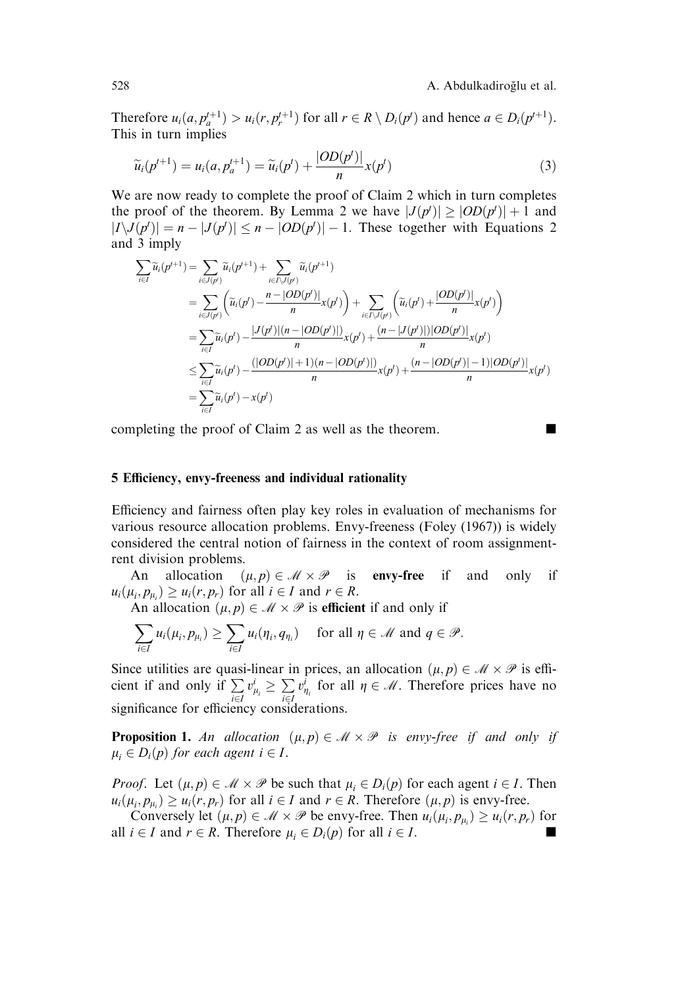Therefore  $u_i(a, p_a^{t+1}) > u_i(r, p_r^{t+1})$  for all  $r \in R \setminus D_i(p^t)$  and hence  $a \in D_i(p^{t+1})$ . This in turn implies

$$
\widetilde{u}_i(p^{t+1}) = u_i(a, p_a^{t+1}) = \widetilde{u}_i(p^t) + \frac{|OD(p^t)|}{n} x(p^t)
$$
\n(3)

We are now ready to complete the proof of Claim 2 which in turn completes the proof of the theorem. By Lemma 2 we have  $|J(p^t)| \ge |OD(p^t)| + 1$  and  $|I\setminus J(p^t)| = n - |J(p^t)| \le n - |OD(p^t)| - 1$ . These together with Equations 2 and 3 imply

$$
\sum_{i \in I} \widetilde{u}_{i}(p^{t+1}) = \sum_{i \in J(p^t)} \widetilde{u}_{i}(p^{t+1}) + \sum_{i \in I \setminus J(p^t)} \widetilde{u}_{i}(p^{t+1})
$$
\n
$$
= \sum_{i \in J(p^t)} \left( \widetilde{u}_{i}(p^t) - \frac{n - |OD(p^t)|}{n} x(p^t) \right) + \sum_{i \in I \setminus J(p^t)} \left( \widetilde{u}_{i}(p^t) + \frac{|OD(p^t)|}{n} x(p^t) \right)
$$
\n
$$
= \sum_{i \in I} \widetilde{u}_{i}(p^t) - \frac{|J(p^t)| (n - |OD(p^t)|)}{n} x(p^t) + \frac{(n - |J(p^t)|)|OD(p^t)|}{n} x(p^t)
$$
\n
$$
\leq \sum_{i \in I} \widetilde{u}_{i}(p^t) - \frac{(|OD(p^t)| + 1)(n - |OD(p^t)|)}{n} x(p^t) + \frac{(n - |OD(p^t)| - 1)|OD(p^t)|}{n} x(p^t)
$$
\n
$$
= \sum_{i \in I} \widetilde{u}_{i}(p^t) - x(p^t)
$$

completing the proof of Claim 2 as well as the theorem.  $\blacksquare$ 

#### 5 Efficiency, envy-freeness and individual rationality

Efficiency and fairness often play key roles in evaluation of mechanisms for various resource allocation problems. Envy-freeness (Foley (1967)) is widely considered the central notion of fairness in the context of room assignmentrent division problems.

An allocation  $(\mu, p) \in \mathcal{M} \times \mathcal{P}$  is envy-free if and only if  $u_i(\mu_i, p_{\mu_i}) \geq u_i(r, p_r)$  for all  $i \in I$  and  $r \in R$ .

An allocation  $(\mu, p) \in \mathcal{M} \times \mathcal{P}$  is efficient if and only if

$$
\sum_{i\in I} u_i(\mu_i, p_{\mu_i}) \geq \sum_{i\in I} u_i(\eta_i, q_{\eta_i}) \quad \text{ for all } \eta \in \mathcal{M} \text{ and } q \in \mathcal{P}.
$$

Since utilities are quasi-linear in prices, an allocation  $(\mu, p) \in \mathcal{M} \times \mathcal{P}$  is efficient if and only if  $\Sigma$  $i \in I$  $v_{\mu_i}^i \geq \sum_{i=1}^n$ i2I  $v_{\eta_i}^i$  for all  $\eta \in \mathcal{M}$ . Therefore prices have no significance for efficiency considerations.

**Proposition 1.** An allocation  $(\mu, p) \in \mathcal{M} \times \mathcal{P}$  is envy-free if and only if  $\mu_i \in D_i(p)$  for each agent  $i \in I$ .

*Proof.* Let  $(\mu, p) \in \mathcal{M} \times \mathcal{P}$  be such that  $\mu_i \in D_i(p)$  for each agent  $i \in I$ . Then  $u_i(\mu_i, p_{\mu_i}) \ge u_i(r, p_r)$  for all  $i \in I$  and  $r \in R$ . Therefore  $(\mu, p)$  is envy-free.

Conversely let  $(\mu, p) \in \mathcal{M} \times \mathcal{P}$  be envy-free. Then  $u_i(\mu_i, p_{\mu_i}) \ge u_i(r, p_r)$  for all  $i \in I$  and  $r \in R$ . Therefore  $\mu_i \in D_i(p)$  for all  $i \in I$ .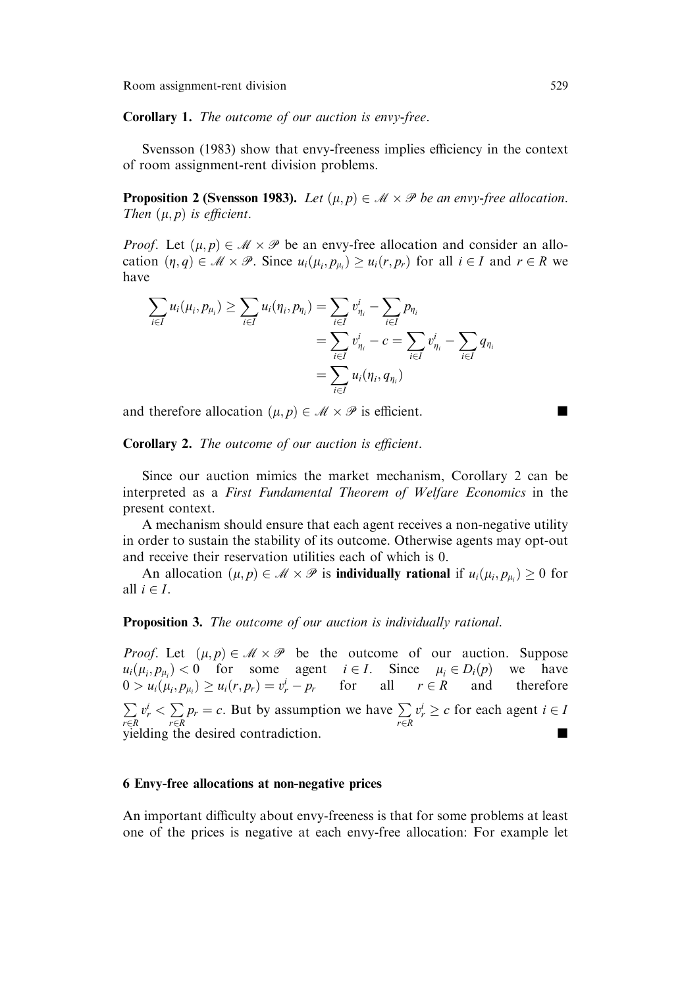Corollary 1. The outcome of our auction is envy-free.

Svensson (1983) show that envy-freeness implies efficiency in the context of room assignment-rent division problems.

**Proposition 2 (Svensson 1983).** Let  $(\mu, p) \in \mathcal{M} \times \mathcal{P}$  be an envy-free allocation. Then  $(\mu, p)$  is efficient.

*Proof.* Let  $(\mu, p) \in \mathcal{M} \times \mathcal{P}$  be an envy-free allocation and consider an allocation  $(\eta, q) \in \mathcal{M} \times \mathcal{P}$ . Since  $u_i(\mu_i, p_{\mu_i}) \ge u_i(r, p_r)$  for all  $i \in I$  and  $r \in R$  we have

$$
\sum_{i \in I} u_i(\mu_i, p_{\mu_i}) \ge \sum_{i \in I} u_i(\eta_i, p_{\eta_i}) = \sum_{i \in I} v_{\eta_i}^i - \sum_{i \in I} p_{\eta_i}
$$
  
= 
$$
\sum_{i \in I} v_{\eta_i}^i - c = \sum_{i \in I} v_{\eta_i}^i - \sum_{i \in I} q_{\eta_i}
$$
  
= 
$$
\sum_{i \in I} u_i(\eta_i, q_{\eta_i})
$$

and therefore allocation  $(\mu, p) \in \mathcal{M} \times \mathcal{P}$  is efficient.

Corollary 2. The outcome of our auction is efficient.

Since our auction mimics the market mechanism, Corollary 2 can be interpreted as a First Fundamental Theorem of Welfare Economics in the present context.

A mechanism should ensure that each agent receives a non-negative utility in order to sustain the stability of its outcome. Otherwise agents may opt-out and receive their reservation utilities each of which is 0.

An allocation  $(\mu, p) \in \mathcal{M} \times \mathcal{P}$  is **individually rational** if  $u_i(\mu_i, p_{\mu_i}) \ge 0$  for all  $i \in I$ .

## Proposition 3. The outcome of our auction is individually rational.

*Proof.* Let  $(\mu, p) \in \mathcal{M} \times \mathcal{P}$  be the outcome of our auction. Suppose  $u_i(\mu_i, p_{\mu_i}) < 0$  for some agent  $i \in I$ . Since  $\mu_i \in D_i(p)$  we have  $0 > u_i(\mu_i, p_{\mu_i}) \ge u_i(r, p_r) = v_r^i - p_r$  for all  $r \in R$  and therefore  $\overline{a}$  $r \in R$  $v_r^i < \sum_{r \in R} p_r = c$ . But by assumption we have  $\sum_{r \in R}$  $v_r^i \geq c$  for each agent  $i \in I$ yielding the desired contradiction.

## 6 Envy-free allocations at non-negative prices

An important difficulty about envy-freeness is that for some problems at least one of the prices is negative at each envy-free allocation: For example let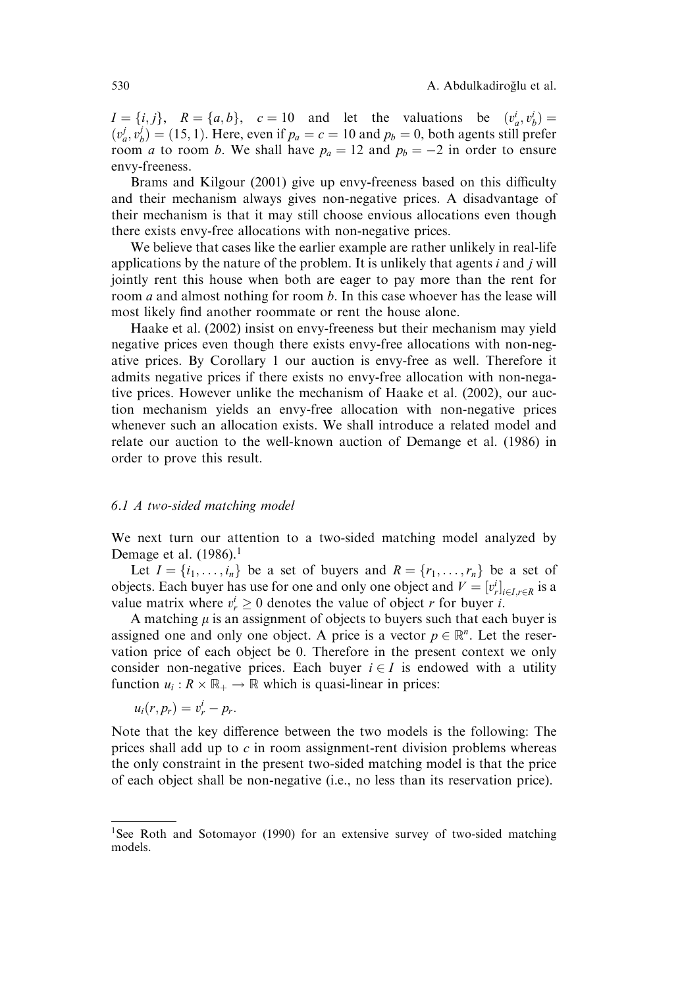$I = \{i, j\}, \quad R = \{a, b\}, \quad c = 10 \quad \text{and} \quad \text{let} \quad \text{the} \quad \text{values} \quad \text{be} \quad (v_a^i, v_b^i) =$  $(v_a^j, v_b^j) = (15, 1)$ . Here, even if  $p_a = c = 10$  and  $p_b = 0$ , both agents still prefer room *a* to room *b*. We shall have  $p_a = 12$  and  $p_b = -2$  in order to ensure envy-freeness.

Brams and Kilgour (2001) give up envy-freeness based on this difficulty and their mechanism always gives non-negative prices. A disadvantage of their mechanism is that it may still choose envious allocations even though there exists envy-free allocations with non-negative prices.

We believe that cases like the earlier example are rather unlikely in real-life applications by the nature of the problem. It is unlikely that agents i and j will jointly rent this house when both are eager to pay more than the rent for room *a* and almost nothing for room *b*. In this case whoever has the lease will most likely find another roommate or rent the house alone.

Haake et al. (2002) insist on envy-freeness but their mechanism may yield negative prices even though there exists envy-free allocations with non-negative prices. By Corollary 1 our auction is envy-free as well. Therefore it admits negative prices if there exists no envy-free allocation with non-negative prices. However unlike the mechanism of Haake et al. (2002), our auction mechanism yields an envy-free allocation with non-negative prices whenever such an allocation exists. We shall introduce a related model and relate our auction to the well-known auction of Demange et al. (1986) in order to prove this result.

## 6.1 A two-sided matching model

We next turn our attention to a two-sided matching model analyzed by Demage et al.  $(1986)^1$ 

Let  $I = \{i_1, \ldots, i_n\}$  be a set of buyers and  $R = \{r_1, \ldots, r_n\}$  be a set of objects. Each buyer has use for one and only one object and  $V = [v_r^i]_{i \in I, r \in R}$  is a value matrix where  $v_r^i \ge 0$  denotes the value of object r for buyer i.

A matching  $\mu$  is an assignment of objects to buyers such that each buyer is assigned one and only one object. A price is a vector  $p \in \mathbb{R}^n$ . Let the reservation price of each object be 0. Therefore in the present context we only consider non-negative prices. Each buyer  $i \in I$  is endowed with a utility function  $u_i : R \times \mathbb{R}_+ \to \mathbb{R}$  which is quasi-linear in prices:

$$
u_i(r,p_r)=v_r^i-p_r.
$$

Note that the key difference between the two models is the following: The prices shall add up to  $c$  in room assignment-rent division problems whereas the only constraint in the present two-sided matching model is that the price of each object shall be non-negative (i.e., no less than its reservation price).

<sup>&</sup>lt;sup>1</sup>See Roth and Sotomayor (1990) for an extensive survey of two-sided matching models.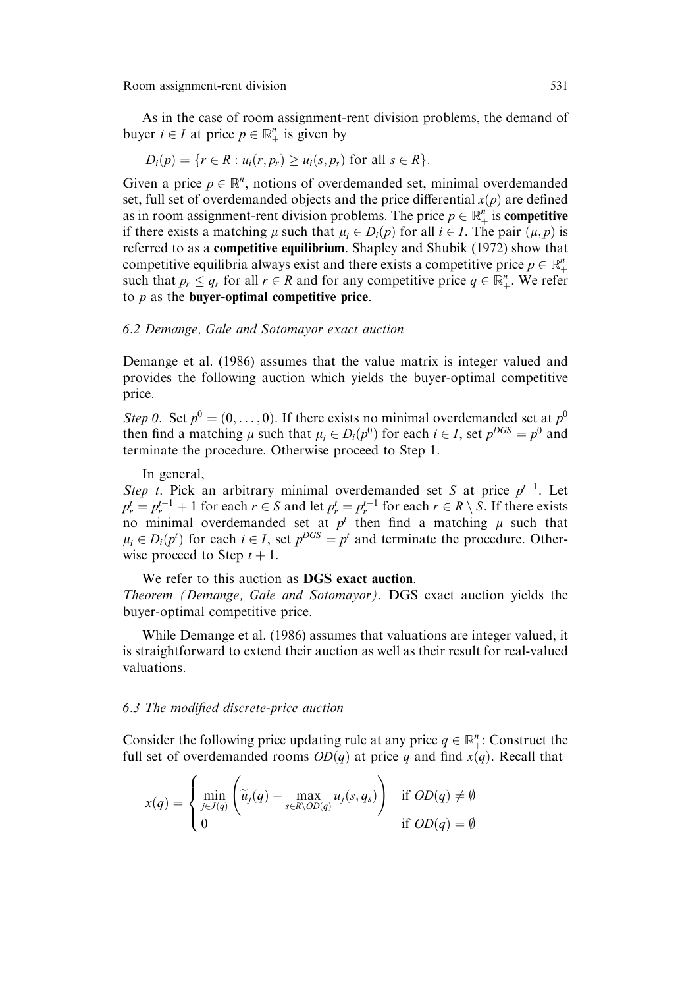As in the case of room assignment-rent division problems, the demand of buyer  $i \in I$  at price  $p \in \mathbb{R}^n_+$  is given by

$$
D_i(p) = \{r \in R : u_i(r, p_r) \ge u_i(s, p_s) \text{ for all } s \in R\}.
$$

Given a price  $p \in \mathbb{R}^n$ , notions of overdemanded set, minimal overdemanded set, full set of overdemanded objects and the price differential  $x(p)$  are defined as in room assignment-rent division problems. The price  $p \in \mathbb{R}^n_+$  is **competitive** if there exists a matching  $\mu$  such that  $\mu_i \in D_i(p)$  for all  $i \in I$ . The pair  $(\mu, p)$  is referred to as a competitive equilibrium. Shapley and Shubik (1972) show that competitive equilibria always exist and there exists a competitive price  $p \in \mathbb{R}_+^n$ such that  $p_r \le q_r$  for all  $r \in R$  and for any competitive price  $q \in \mathbb{R}^n_+$ . We refer to  $p$  as the **buyer-optimal competitive price.** 

## 6.2 Demange, Gale and Sotomayor exact auction

Demange et al. (1986) assumes that the value matrix is integer valued and provides the following auction which yields the buyer-optimal competitive price.

Step 0. Set  $p^0 = (0, \ldots, 0)$ . If there exists no minimal overdemanded set at  $p^0$ then find a matching  $\mu$  such that  $\mu_i \in D_i(p^0)$  for each  $i \in I$ , set  $p^{DGS} = p^0$  and terminate the procedure. Otherwise proceed to Step 1.

In general,

Step t. Pick an arbitrary minimal overdemanded set S at price  $p^{t-1}$ . Let  $p_r^t = p_r^{t-1} + 1$  for each  $r \in S$  and let  $p_r^t = p_r^{t-1}$  for each  $r \in R \setminus S$ . If there exists no minimal overdemanded set at  $p^t$  then find a matching  $\mu$  such that  $\mu_i \in D_i(p^t)$  for each  $i \in I$ , set  $p^{DGS} = p^t$  and terminate the procedure. Otherwise proceed to Step  $t + 1$ .

We refer to this auction as DGS exact auction.

Theorem (Demange, Gale and Sotomayor). DGS exact auction yields the buyer-optimal competitive price.

While Demange et al. (1986) assumes that valuations are integer valued, it is straightforward to extend their auction as well as their result for real-valued valuations.

## 6.3 The modified discrete-price auction

Consider the following price updating rule at any price  $q \in \mathbb{R}^n_+$ : Construct the full set of overdemanded rooms  $OD(q)$  at price q and find  $x(q)$ . Recall that

$$
x(q) = \begin{cases} \min_{j \in J(q)} \left( \tilde{u}_j(q) - \max_{s \in R \setminus OD(q)} u_j(s, q_s) \right) & \text{if } OD(q) \neq \emptyset \\ 0 & \text{if } OD(q) = \emptyset \end{cases}
$$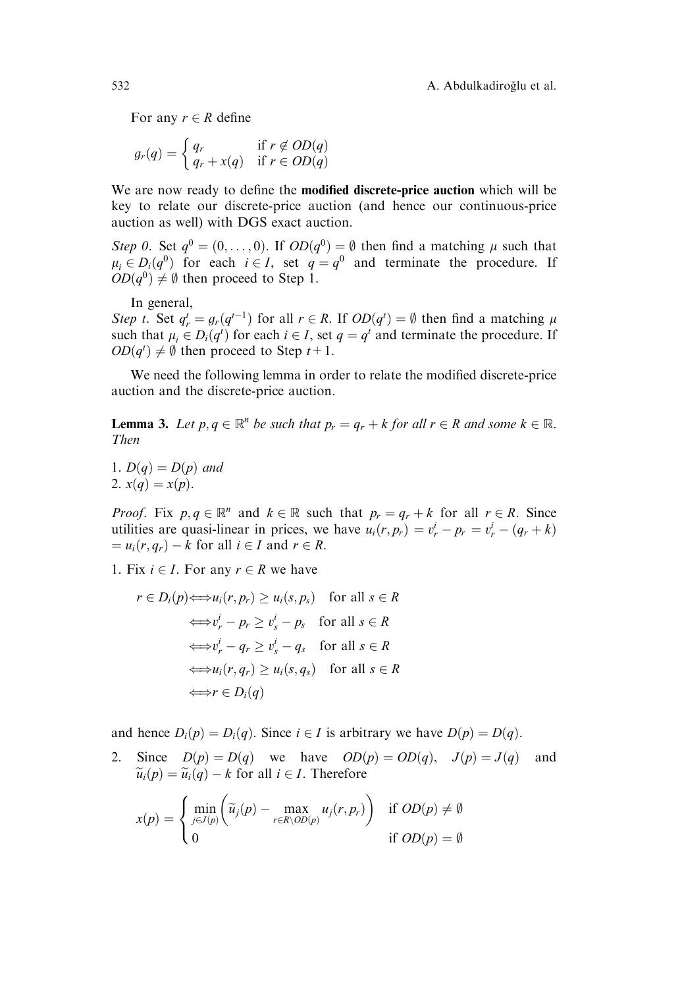For any  $r \in R$  define

$$
g_r(q) = \begin{cases} q_r & \text{if } r \notin OD(q) \\ q_r + x(q) & \text{if } r \in OD(q) \end{cases}
$$

We are now ready to define the **modified discrete-price auction** which will be key to relate our discrete-price auction (and hence our continuous-price auction as well) with DGS exact auction.

Step 0. Set  $q^0 = (0, \ldots, 0)$ . If  $OD(q^0) = \emptyset$  then find a matching  $\mu$  such that  $\mu_i \in D_i(q^0)$  for each  $i \in I$ , set  $q = q^0$  and terminate the procedure. If  $OD(q^0) \neq \emptyset$  then proceed to Step 1.

In general,

Step t. Set  $q_r^t = g_r(q^{t-1})$  for all  $r \in R$ . If  $OD(q^t) = \emptyset$  then find a matching  $\mu$ such that  $\mu_i \in D_i(q^t)$  for each  $i \in I$ , set  $q = q^t$  and terminate the procedure. If  $OD(q^t) \neq \emptyset$  then proceed to Step  $t+1$ .

We need the following lemma in order to relate the modified discrete-price auction and the discrete-price auction.

**Lemma 3.** Let  $p, q \in \mathbb{R}^n$  be such that  $p_r = q_r + k$  for all  $r \in R$  and some  $k \in \mathbb{R}$ . Then

1.  $D(q) = D(p)$  and 2.  $x(q) = x(p)$ .

*Proof.* Fix  $p, q \in \mathbb{R}^n$  and  $k \in \mathbb{R}$  such that  $p_r = q_r + k$  for all  $r \in R$ . Since utilities are quasi-linear in prices, we have  $u_i(r, p_r) = v_r^i - p_r = v_r^i - (q_r + k)$  $= u_i(r, q_r) - k$  for all  $i \in I$  and  $r \in R$ .

1. Fix  $i \in I$ . For any  $r \in R$  we have

$$
r \in D_i(p) \Longleftrightarrow u_i(r, p_r) \ge u_i(s, p_s) \quad \text{for all } s \in R
$$
  

$$
\Longleftrightarrow v_r^i - p_r \ge v_s^i - p_s \quad \text{for all } s \in R
$$
  

$$
\Longleftrightarrow v_r^i - q_r \ge v_s^i - q_s \quad \text{for all } s \in R
$$
  

$$
\Longleftrightarrow u_i(r, q_r) \ge u_i(s, q_s) \quad \text{for all } s \in R
$$
  

$$
\Longleftrightarrow r \in D_i(q)
$$

and hence  $D_i(p) = D_i(q)$ . Since  $i \in I$  is arbitrary we have  $D(p) = D(q)$ .

2. Since  $D(p) = D(q)$  we have  $OD(p) = OD(q)$ ,  $J(p) = J(q)$  and  $\widetilde{u}_i(p) = \widetilde{u}_i(q) - k$  for all  $i \in I$ . Therefore

$$
x(p) = \begin{cases} \min_{j \in J(p)} \left( \tilde{u}_j(p) - \max_{r \in R \setminus OD(p)} u_j(r, p_r) \right) & \text{if } OD(p) \neq \emptyset \\ 0 & \text{if } OD(p) = \emptyset \end{cases}
$$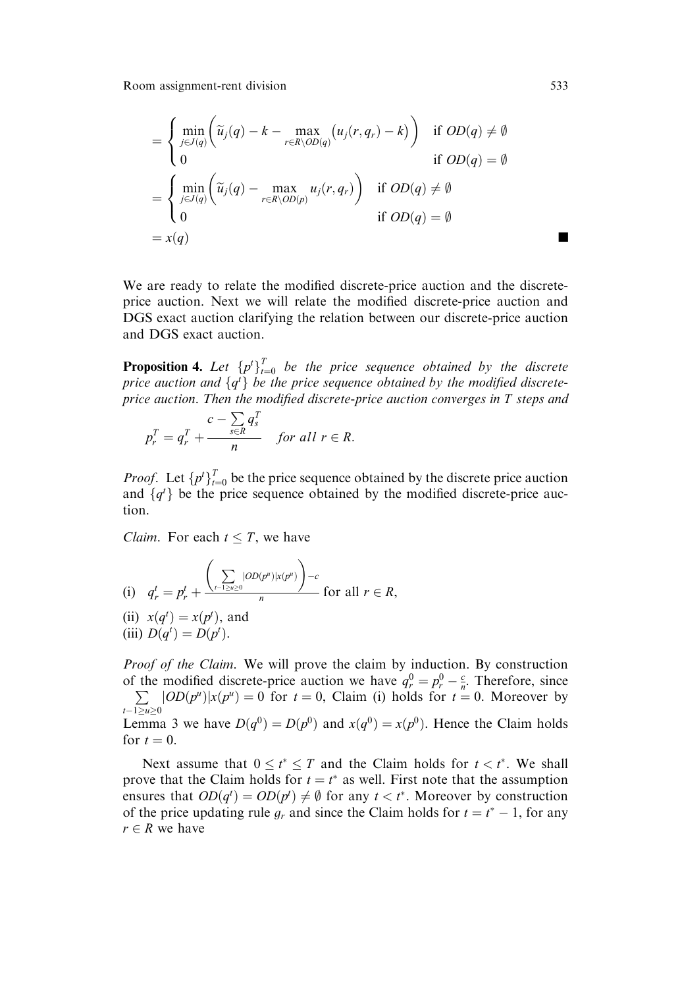$$
= \begin{cases} \min_{j\in J(q)} \left( \widetilde{u}_j(q) - k - \max_{r\in R\setminus OD(q)} \left( u_j(r, q_r) - k \right) \right) & \text{if } OD(q) \neq \emptyset \\ 0 & \text{if } OD(q) = \emptyset \end{cases}
$$

$$
= \begin{cases} \min_{j\in J(q)} \left( \widetilde{u}_j(q) - \max_{r\in R\setminus OD(p)} u_j(r, q_r) \right) & \text{if } OD(q) \neq \emptyset \\ 0 & \text{if } OD(q) = \emptyset \end{cases}
$$

$$
= x(q)
$$

We are ready to relate the modified discrete-price auction and the discreteprice auction. Next we will relate the modified discrete-price auction and DGS exact auction clarifying the relation between our discrete-price auction and DGS exact auction.

**Proposition 4.** Let  $\{p^t\}_{t=0}^T$  be the price sequence obtained by the discrete price auction and  $\{q^{t}\}$  be the price sequence obtained by the modified discreteprice auction. Then the modified discrete-price auction converges in T steps and

$$
p_r^T = q_r^T + \frac{c - \sum_{s \in R} q_s^T}{n} \quad \text{for all } r \in R.
$$

*Proof.* Let  $\{p^t\}_{t=0}^T$  be the price sequence obtained by the discrete price auction and  $\{q^t\}$  be the price sequence obtained by the modified discrete-price auction.

*Claim.* For each  $t \leq T$ , we have

(i) 
$$
q_r^t = p_r^t + \frac{\left(\sum_{t-1 \ge u \ge 0} |OD(p^u)|x(p^u)\right) - c}{n}
$$
 for all  $r \in R$ ,

(ii)  $x(q^t) = x(p^t)$ , and (iii)  $D(q^t) = D(p^t)$ .

*Proof of the Claim.* We will prove the claim by induction. By construction of the modified discrete-price auction we have  $q_r^0 = p_r^0 - \frac{c}{n}$ . Therefore, since The modified discrete-price auction we have  $q_r - p_r = \frac{p_r - p_r}{r}$  $\sum_{t-1 \ge u \ge 0} |OD(p^u)| x(p^u) = 0$  for  $t = 0$ , Claim (i) holds for  $t = 0$ . Moreover by Lemma 3 we have  $D(q^0) = D(p^0)$  and  $x(q^0) = x(p^0)$ . Hence the Claim holds for  $t = 0$ .

Next assume that  $0 \le t^* \le T$  and the Claim holds for  $t < t^*$ . We shall prove that the Claim holds for  $t = t^*$  as well. First note that the assumption ensures that  $OD(q^t) = OD(p^t) \neq \emptyset$  for any  $t < t^*$ . Moreover by construction of the price updating rule  $g_r$  and since the Claim holds for  $t = t^* - 1$ , for any  $r \in R$  we have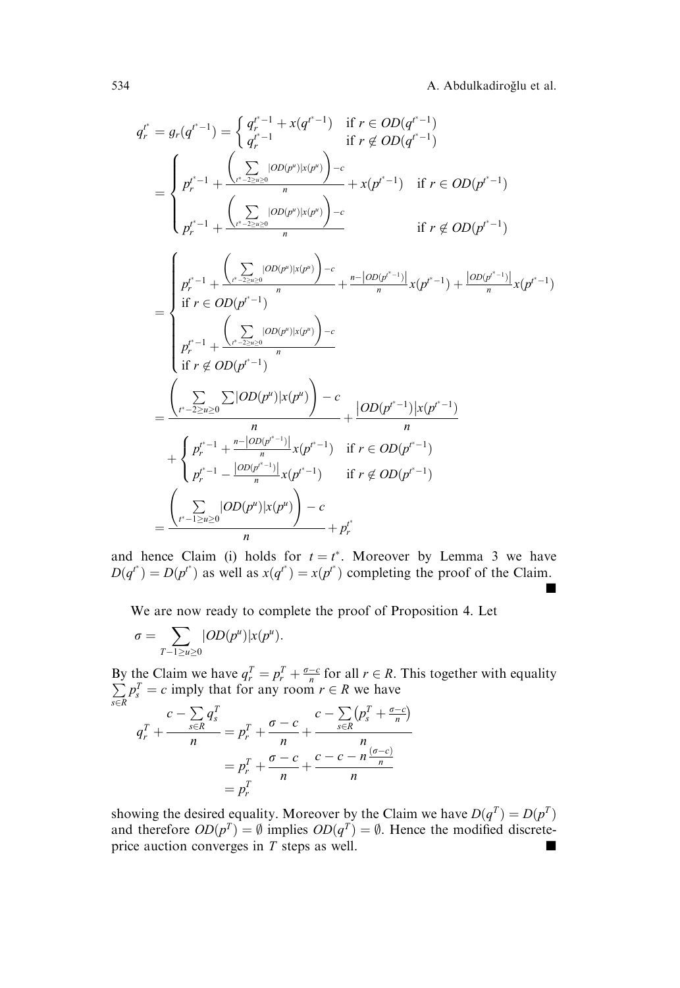j

$$
q_r^r = g_r(q^{r^r-1}) = \begin{cases} q_r^{r^r-1} + x(q^{r^r-1}) & \text{if } r \in OD(q^{r^r-1}) \\ q_r^{r^r-1} + \frac{\left(\sum\limits_{r^r-2 \ge u \ge 0} |OD(p^u)|x(p^u)\right) - c}{n} & \text{if } r \notin OD(q^{r^r-1}) \\ p_r^{r^r-1} + \frac{\left(\sum\limits_{r^r-2 \ge u \ge 0} |OD(p^u)|x(p^u)\right) - c}{n} & \text{if } r \notin OD(p^{r^r-1}) \\ p_r^{r^r-1} + \frac{\left(\sum\limits_{r^r-2 \ge u \ge 0} |OD(p^u)|x(p^u)\right) - c}{n} & \text{if } r \notin OD(p^{r^r-1}) \\ \text{if } r \in OD(p^{r^r-1}) \\ \text{if } r \in OD(p^{r^r-1}) \\ p_r^{r^r-1} + \frac{\left(\sum\limits_{r^r-2 \ge u \ge 0} |OD(p^u)|x(p^u)\right) - c}{n} \\ \text{if } r \notin OD(p^{r^r-1}) \\ \text{if } r \notin OD(p^{r^r-1}) \\ \text{if } r \notin OD(p^{r^r-1}) \\ \text{if } r \notin OD(p^{r^r-1}) \\ \text{if } r \in OD(p^{r^r-1}) \\ \text{if } r \in OD(p^{r^r-1}) \\ \text{if } r \in OD(p^{r^r-1}) \\ p_r^{r^r-1} - \frac{|OD(p^{r^r-1})|}{n}x(p^{r^r-1}) & \text{if } r \in OD(p^{r^r-1}) \\ p_r^{r^r-1} - \frac{|OD(p^{r^r-1})|}{n}x(p^{r^r-1}) & \text{if } r \notin OD(p^{r^r-1}) \\ \text{if } r \in OD(p^{r^r-1}) \\ \text{if } r \in OD(p^{r^r-1}) \\ \text{if } r \in OD(p^{r^r-1}) \\ \text{if } r \in OD(p^{r^r-1}) \\ \text{if } r \in OD(p^{r^r-1}) \\ \end{cases}
$$

and hence Claim (i) holds for  $t = t^*$ . Moreover by Lemma 3 we have  $D(q^{t^*}) = D(p^{t^*})$  as well as  $x(q^{t^*}) = x(p^{t^*})$  completing the proof of the Claim.

We are now ready to complete the proof of Proposition 4. Let

$$
\sigma = \sum_{T-1 \ge u \ge 0} |OD(p^u)| x(p^u).
$$

By the Claim we have  $q_r^T = p_r^T + \frac{\sigma - c}{n}$  for all  $r \in R$ . This together with equality  $\sum_{r=1}^{\infty} n_r^T = a$  imply that for any room  $r \in R$  we have  $s \in R$  $p_s^T = c$  imply that for any room  $r \in R$  we have

$$
q_r^T + \frac{c - \sum_{s \in R} q_s^T}{n} = p_r^T + \frac{\sigma - c}{n} + \frac{c - \sum_{s \in R} (p_s^T + \frac{\sigma - c}{n})}{n}
$$

$$
= p_r^T + \frac{\sigma - c}{n} + \frac{c - c - n\frac{(\sigma - c)}{n}}{n}
$$

$$
= p_r^T
$$

showing the desired equality. Moreover by the Claim we have  $D(q^T) = D(p^T)$ and therefore  $OD(p^T) = \emptyset$  implies  $OD(q^T) = \emptyset$ . Hence the modified discreteprice auction converges in  $T$  steps as well.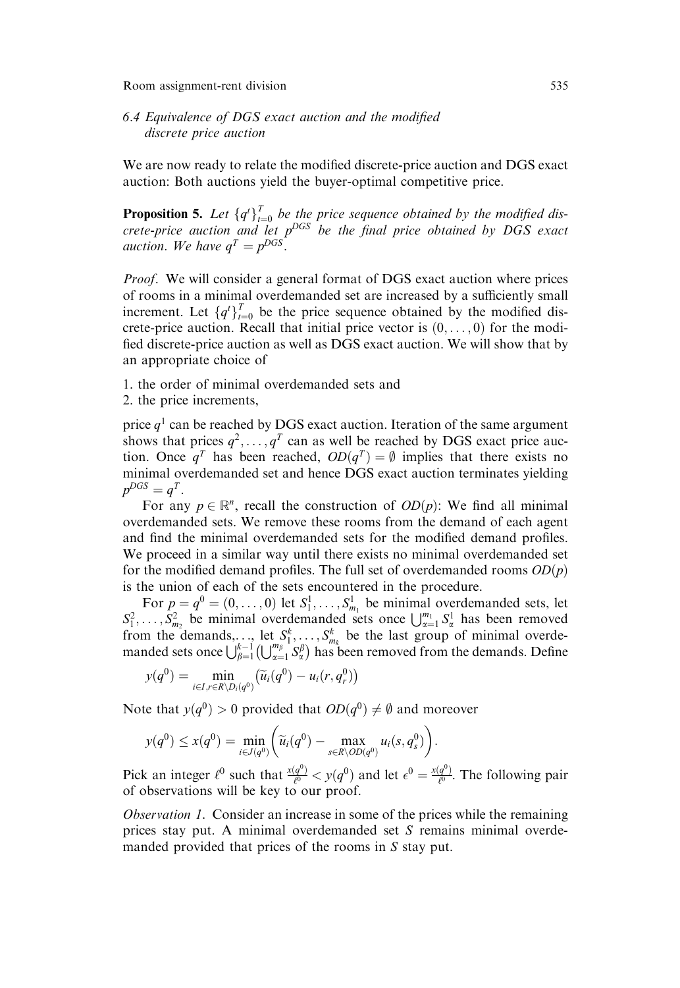6.4 Equivalence of DGS exact auction and the modified discrete price auction

We are now ready to relate the modified discrete-price auction and DGS exact auction: Both auctions yield the buyer-optimal competitive price.

**Proposition 5.** Let  ${q^t}_{t=0}^T$  be the price sequence obtained by the modified discrete-price auction and let  $p^{DGS}$  be the final price obtained by  $DGS$  exact auction. We have  $q^T = p^{DGS}$ .

*Proof.* We will consider a general format of DGS exact auction where prices of rooms in a minimal overdemanded set are increased by a sufficiently small increment. Let  ${q<sup>t</sup>}_{t=0}^T$  be the price sequence obtained by the modified discrete-price auction. Recall that initial price vector is  $(0, \ldots, 0)$  for the modified discrete-price auction as well as DGS exact auction. We will show that by an appropriate choice of

1. the order of minimal overdemanded sets and

2. the price increments,

price  $q<sup>1</sup>$  can be reached by DGS exact auction. Iteration of the same argument shows that prices  $q^2, \ldots, q^T$  can as well be reached by DGS exact price auction. Once  $q^T$  has been reached,  $OD(q^T) = \emptyset$  implies that there exists no minimal overdemanded set and hence DGS exact auction terminates yielding  $p^{DGS} = q^T$ .

For any  $p \in \mathbb{R}^n$ , recall the construction of  $OD(p)$ : We find all minimal overdemanded sets. We remove these rooms from the demand of each agent and find the minimal overdemanded sets for the modified demand profiles. We proceed in a similar way until there exists no minimal overdemanded set for the modified demand profiles. The full set of overdemanded rooms  $OD(p)$ is the union of each of the sets encountered in the procedure.

For  $p = q^0 = (0, \ldots, 0)$  let  $S_1^1, \ldots, S_{m_1}^1$  be minimal overdemanded sets, let  $S_1^2, \ldots, S_{m_2}^2$  be minimal overdemanded sets once  $\bigcup_{\alpha=1}^{m_1} S_{\alpha}^1$  has been removed from the demands,..., let  $S_1^k, \ldots, S_{m_k}^k$  be the last group of minimal overde-<br>manded sets once  $\bigcup_{\beta=1}^{k-1} \left( \bigcup_{\alpha=1}^{m_\beta} S_\alpha^\beta \right)$  has been removed from the demands. Define

$$
y(q^0) = \min_{i \in I, r \in R \setminus D_i(q^0)} \left( \widetilde{u}_i(q^0) - u_i(r, q^0) \right)
$$

Note that  $y(q^0) > 0$  provided that  $OD(q^0) \neq \emptyset$  and moreover

$$
y(q^0) \leq x(q^0) = \min_{i \in J(q^0)} \left( \widetilde{u}_i(q^0) - \max_{s \in R \setminus OD(q^0)} u_i(s, q_s^0) \right).
$$

Pick an integer  $\ell^0$  such that  $\frac{x(q^0)}{\ell^0} < y(q^0)$  and let  $\epsilon^0 = \frac{x(q^0)}{\ell^0}$ . The following pair of observations will be key to our proof.

Observation 1. Consider an increase in some of the prices while the remaining prices stay put. A minimal overdemanded set S remains minimal overdemanded provided that prices of the rooms in S stay put.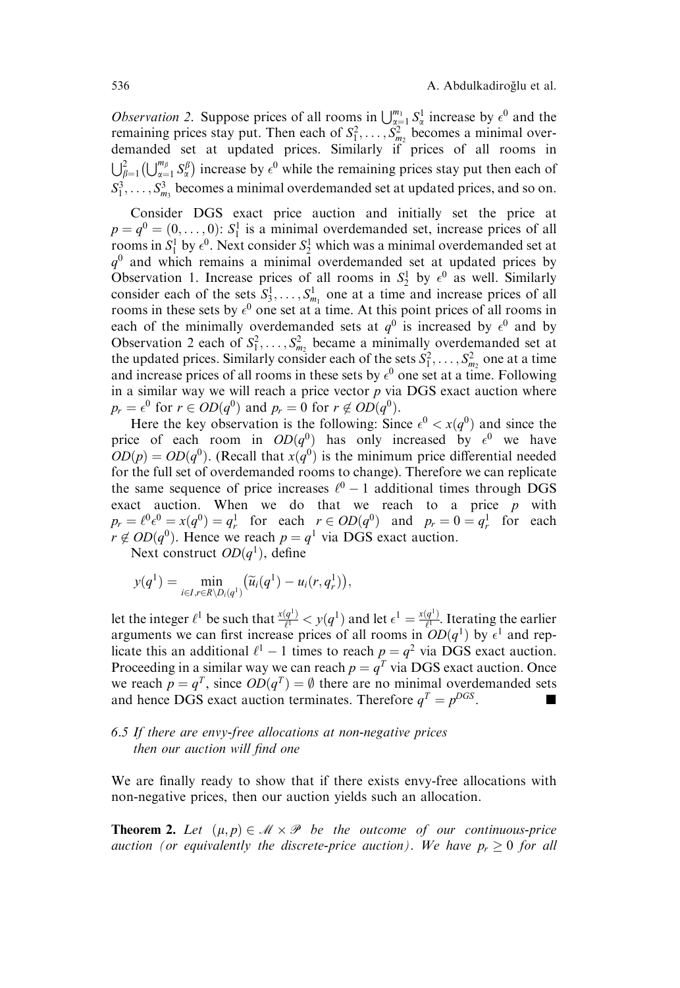*Observation 2.* Suppose prices of all rooms in  $\bigcup_{\alpha=1}^{m_1} S_{\alpha}^1$  increase by  $\epsilon^0$  and the remaining prices stay put. Then each of  $S_1^2, \ldots, S_{m_2}^2$  becomes a minimal overdemanded set at updated prices. Similarly if prices of all rooms in  $\bigcup_{\beta=1}^2 \left(\bigcup_{\alpha=1}^{m_\beta} S_\alpha^\beta\right)$  increase by  $\epsilon^0$  while the remaining prices stay put then each of  $S_1^3, \ldots, S_{m_3}^3$  becomes a minimal overdemanded set at updated prices, and so on.

Consider DGS exact price auction and initially set the price at  $p = q^0 = (0, \dots, 0)$ :  $S_1^1$  is a minimal overdemanded set, increase prices of all rooms in  $S_1^1$  by  $\epsilon^0$ . Next consider  $S_2^1$  which was a minimal overdemanded set at  $q<sup>0</sup>$  and which remains a minimal overdemanded set at updated prices by Observation 1. Increase prices of all rooms in  $S_2^1$  by  $\epsilon^0$  as well. Similarly consider each of the sets  $S_3^1, \ldots, S_{m_1}^1$  one at a time and increase prices of all rooms in these sets by  $\epsilon^0$  one set at a time. At this point prices of all rooms in each of the minimally overdemanded sets at  $q^0$  is increased by  $\epsilon^0$  and by Observation 2 each of  $S_1^2, \ldots, S_{m_2}^2$  became a minimally overdemanded set at the updated prices. Similarly consider each of the sets  $S_1^2, \ldots, S_{m_2}^2$  one at a time and increase prices of all rooms in these sets by  $\epsilon^0$  one set at a time. Following in a similar way we will reach a price vector  $p$  via DGS exact auction where  $p_r = \epsilon^0$  for  $r \in OD(q^0)$  and  $p_r = 0$  for  $r \notin OD(q^0)$ .

Here the key observation is the following: Since  $\epsilon^0 < x(q^0)$  and since the price of each room in  $OD(q^0)$  has only increased by  $\epsilon^0$  we have  $OD(p) = OD(q^0)$ . (Recall that  $x(q^0)$  is the minimum price differential needed for the full set of overdemanded rooms to change). Therefore we can replicate the same sequence of price increases  $\ell^0 - 1$  additional times through DGS exact auction. When we do that we reach to a price  $p$  with  $p_r = \ell^0 \epsilon^0 = x(q^0) = q_r^1$  for each  $r \in OD(q^0)$  and  $p_r = 0 = q_r^1$  for each  $r \notin OD(q^0)$ . Hence we reach  $p = q^1$  via DGS exact auction.

Next construct  $OD(q^1)$ , define

$$
y(q^1) = \min_{i \in I, r \in R \setminus D_i(q^1)} (\widetilde{u}_i(q^1) - u_i(r, q^1_r)),
$$

let the integer  $\ell^1$  be such that  $\frac{x(q^1)}{\ell^1} < y(q^1)$  and let  $\epsilon^1 = \frac{x(q^1)}{\ell^1}$ . Iterating the earlier arguments we can first increase prices of all rooms in  $OD(q<sup>1</sup>)$  by  $\epsilon<sup>1</sup>$  and replicate this an additional  $\ell^1 - 1$  times to reach  $p = q^2$  via DGS exact auction. Proceeding in a similar way we can reach  $p = q<sup>T</sup>$  via DGS exact auction. Once we reach  $p = q^T$ , since  $OD(q^T) = \emptyset$  there are no minimal overdemanded sets and hence DGS exact auction terminates. Therefore  $q^T = p^{DGS}$ .

## 6.5 If there are envy-free allocations at non-negative prices then our auction will find one

We are finally ready to show that if there exists envy-free allocations with non-negative prices, then our auction yields such an allocation.

**Theorem 2.** Let  $(\mu, p) \in \mathcal{M} \times \mathcal{P}$  be the outcome of our continuous-price auction (or equivalently the discrete-price auction). We have  $p_r \geq 0$  for all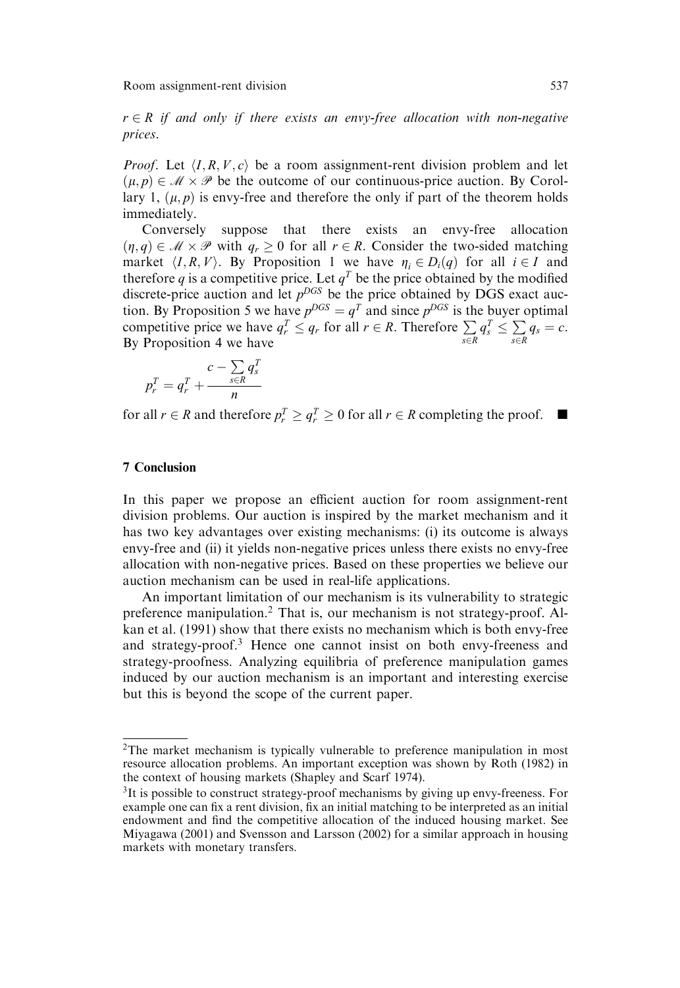$r \in R$  if and only if there exists an envy-free allocation with non-negative prices.

*Proof.* Let  $\langle I, R, V, c \rangle$  be a room assignment-rent division problem and let  $(\mu, p) \in \mathcal{M} \times \mathcal{P}$  be the outcome of our continuous-price auction. By Corollary 1,  $(\mu, p)$  is envy-free and therefore the only if part of the theorem holds immediately.

Conversely suppose that there exists an envy-free allocation  $(\eta, q) \in \mathcal{M} \times \mathcal{P}$  with  $q_r \geq 0$  for all  $r \in R$ . Consider the two-sided matching market  $\langle I, R, V \rangle$ . By Proposition 1 we have  $\eta_i \in D_i(q)$  for all  $i \in I$  and therefore q is a competitive price. Let  $q<sup>T</sup>$  be the price obtained by the modified discrete-price auction and let  $p^{DGS}$  be the price obtained by DGS exact auction. By Proposition 5 we have  $p^{DGS} = q^T$  and since  $p^{DGS}$  is the buyer optimal competitive price we have  $q_r^T \leq q_r$  for all  $r \in R$ . Therefore  $\sum_{s \in R}$ <br>By Proposition 4 we have  $q_s^T \leq \sum_{s \in R} q_s = c.$ By Proposition 4 we have

$$
p_r^T = q_r^T + \frac{c - \sum_{s \in R} q_s^T}{n}
$$

for all  $r \in R$  and therefore  $p_r^T \ge q_r^T \ge 0$  for all  $r \in R$  completing the proof.  $\blacksquare$ 

#### 7 Conclusion

In this paper we propose an efficient auction for room assignment-rent division problems. Our auction is inspired by the market mechanism and it has two key advantages over existing mechanisms: (i) its outcome is always envy-free and (ii) it yields non-negative prices unless there exists no envy-free allocation with non-negative prices. Based on these properties we believe our auction mechanism can be used in real-life applications.

An important limitation of our mechanism is its vulnerability to strategic preference manipulation.<sup>2</sup> That is, our mechanism is not strategy-proof. Alkan et al. (1991) show that there exists no mechanism which is both envy-free and strategy-proof.<sup>3</sup> Hence one cannot insist on both envy-freeness and strategy-proofness. Analyzing equilibria of preference manipulation games induced by our auction mechanism is an important and interesting exercise but this is beyond the scope of the current paper.

<sup>&</sup>lt;sup>2</sup>The market mechanism is typically vulnerable to preference manipulation in most resource allocation problems. An important exception was shown by Roth (1982) in the context of housing markets (Shapley and Scarf 1974).

<sup>&</sup>lt;sup>3</sup>It is possible to construct strategy-proof mechanisms by giving up envy-freeness. For example one can fix a rent division, fix an initial matching to be interpreted as an initial endowment and find the competitive allocation of the induced housing market. See Miyagawa (2001) and Svensson and Larsson (2002) for a similar approach in housing markets with monetary transfers.